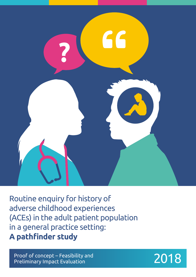

Routine enquiry for history of adverse childhood experiences (ACEs) in the adult patient population in a general practice setting: **A pathfinder study**

Proof of concept – Feasibility and Preliminary Impact Evaluation 2018

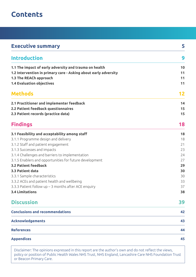## **Contents**

| <b>Executive summary</b>                                        | 5  |
|-----------------------------------------------------------------|----|
| <b>Introduction</b>                                             | 9  |
| 1.1 The impact of early adversity and trauma on health          | 10 |
| 1.2 Intervention in primary care - Asking about early adversity | 11 |
| 1.3 The REACh approach                                          | 11 |
| <b>1.4 Evaluation objectives</b>                                | 11 |
| <b>Methods</b>                                                  | 12 |
| 2.1 Practitioner and implementer feedback                       | 14 |
| 2.2 Patient feedback questionnaires                             | 15 |
| 2.3 Patient records (practice data)                             | 15 |
| <b>Findings</b>                                                 | 18 |
| 3.1 Feasibility and acceptability among staff                   | 18 |
| 3.1.1 Programme design and delivery                             | 18 |
| 3.1.2 Staff and patient engagement                              | 21 |
| 3.1.3 Successes and impacts                                     | 23 |
| 3.1.4 Challenges and barriers to implementation                 | 24 |
| 3.1.5 Enablers and opportunities for future development         | 27 |
| <b>3.2 Patient feedback</b>                                     | 29 |
| 3.3 Patient data                                                | 30 |
| 3.3.1 Sample characteristics                                    | 30 |
| 3.3.2 ACEs and patient health and wellbeing                     | 33 |
| 3.3.3 Patient follow $up-3$ months after ACE enquiry            | 37 |
| <b>3.4 Limitations</b>                                          | 38 |
| <b>Discussion</b>                                               | 39 |
| <b>Conclusions and recommendations</b>                          | 42 |
| <b>Acknowledgements</b>                                         | 43 |
| <b>References</b>                                               | 44 |
| <b>Appendices</b>                                               | 45 |

Disclaimer: The opinions expressed in this report are the author's own and do not reflect the views, policy or position of Public Health Wales NHS Trust, NHS England, Lancashire Care NHS Foundation Trust or Beacon Primary Care.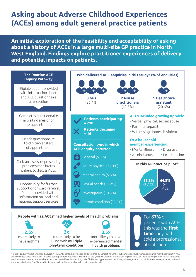## **Asking about Adverse Childhood Experiences (ACEs) among adult general practice patients**

**An initial exploration of the feasibility and acceptability of asking about a history of ACEs in a large multi-site GP practice in North West England. Findings explore practitioner experiences of delivery and potential impacts on patients.**



a Routine Enquiry About Childhood Adversity (REACh) approach developed and delivered by Lancashire Care NHS Foundation Trust. <sup>b</sup> When compared with those with 0-1 ACE; adjusted odds ratios controlling for socio-demographic confounders. Patients on the Quality Outcomes Framework register for ≥2 of the following chronic health conditions: cardiovascular disease, type II diabetes, asthma, mental health condition, atrial fibrillation, hypertension, respiratory disease, cancer, chronic kidney disease, osteoarthritis and rheumatoid arthritis. <sup>4</sup>N=214; 4 patients were excluded from analyses due to incomplete data.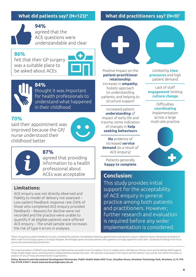**94%** agreed that the ACE questions were understandable and clear

## **86%**

felt that their GP surgery was a suitable place to be asked about ACEs





**84%** thought it was important for health professionals to understand what happened in their childhood

## **70%**

said their appointment was improved because the GP/ nurse understood their childhood better





## **87%**

agreed that providing information to a health professional about ACEs was acceptable

## **Limitations:**

ACE enquiry was not directly observed and fidelity to model of delivery not assessed – Low patient feedback response rate (56% of those who completed ACE enquiry provided feedback) – Reasons for decline were not recorded and the practice were unable to quantify if all eligible patients were offered ACE enquiry – The small sample size increases the risk of type II errors in analyses.

## **What did patients say? (N=123)e What did practitioners say? (N=9)f**



Positive impact on the **patient-practitioner relationship**; increases in **empathy**; holistic approach to understanding patients; and helping to structure support

Increased patient **understanding** of impact of early life and trauma; some indication of changes in **help seeking behaviours**

**No** evidence of increased **service demand** (as a result of ACE enquiry)

Patients generally **happy to complete**

## **Conclusion:**

This study provides initial support for the acceptability of ACE enquiry in general practice among both patients and practitioners. However, further research and evaluation is required before any wider implementation is considered.

e Short anonymous patient feedback surveys completed by patients immediately following appointment and placed in secure collection boxes. Responses provided on likert scale from strongly agree to strongly disagree. Percentages given are total patients who agreed or strongly agreed for each item. f Qualitative findings from focus group with participating practitioners.

The implementation of REACh was designed and delivered by Lancashire Care Foundation Trust in collaboration with Beacon Primary Care and funded by NHS England. Public Health Wales were commissioned to independently evaluate this pilot. The opinions expressed in this report are the authors' own and do not reflect the policy or position of any of those aforementioned organisations.

**Policy, Research and International Development Directorate, Public Health Wales NHS Trust, Clwydian House, Wrexham Technology Park, Wrexham, LL13 7YP. Tel: 01978 318417. Email: katie.hardcastle@wales.nhs.uk**



Limited by **time pressures** and high patient demand

Lack of staff **engagement** limiting **culture change**

> Difficulties **coordinating** implementation across a large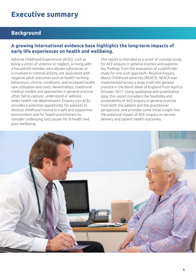## **Background**

## **A growing international evidence base highlights the long-term impacts of early life experiences on health and wellbeing.**

Adverse Childhood Experiences (ACEs), such as being a victim of violence or neglect, or living with a household member who abuses substances or is involved in criminal activity, are associated with negative adult outcomes such as health harming behaviours, chronic conditions, and increased health care utilisation and costs. Nevertheless, traditional medical models and approaches in general practice often fail to capture, understand or address wider health risk determinants. Enquiry into ACEs provides a potential opportunity for patients to disclose childhood trauma in a safe and supportive environment and for health practitioners to consider underlying root causes for ill health and poor wellbeing.

This report is intended as a proof of concept study for ACE enquiry in general practice and explores key findings from the evaluation of a pathfinder study for one such approach - Routine Enquiry About Childhood adversity (REACh). REACh was implemented across a large multi-site general practice in the North West of England from April to October 2017. Using qualitative and quantitative data, this report considers the feasibility and acceptability of ACE enquiry in general practice from both the patient and the practitioner perspective, and provides some initial insight into the potential impact of ACE enquiry on service delivery and patient health outcomes.

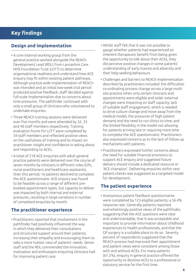## **Key findings**

## **Design and implementation**

- A core internal working group from the general practice worked alongside the REACh Development Lead (RDL) from Lancashire Care NHS Foundation Trust (LCFT) to determine organisational readiness and understand how ACE enquiry may fit within existing patient pathways. Although practice-wide implementation of REACh was intended and an initial two-week trial period produced positive feedback, staff decided against full-scale implementation due to concerns about time pressures. The pathfinder continued with only a small group of clinicians who volunteered to undertake enquiries.
- Three REACh training sessions were delivered over five months and were attended by 32, 33 and 40 staff members respectively. Training evaluation forms for LCFT were completed by 34 staff members and reflected positive views on the usefulness of training and its impact on practitioner insight and confidence in asking about and responding to ACEs.
- A total of 218 ACE enquiries with adult general practice patients were delivered over the course of seven months by clinicians in different roles (GPs, nurse practitioners and healthcare assistants). Over this period, 16 patients declined to complete the ACE questionnaire. ACE enquiry was found to be feasible across a range of different prebooked appointment types, but capacity to deliver was impacted by both internal and external pressures, resulting in large variations in number of completed enquiries by month.

## **The practitioner experience**

• Practitioners reported that involvement in the pathfinder had positively influenced the way in which they delivered their consultations and structured support around their patients; increasing their empathy and encouraging them to take a more holistic view of patients' needs. Senior staff and the RDL commended the innovation, motivation and enthusiasm enquiring clinicians had for improving patient care.

- Whilst staff felt that it was not possible to gauge whether patients had experienced an inherent therapeutic benefit from being given the opportunity to talk about their ACEs, they did perceive positive changes in some patients' understanding of early trauma and adversity and their help seeking behaviours.
- Challenges and barriers to REACh implementation described by practitioners included: the difficulties co-ordinating process change across a large multisite practice when only certain clinicians and appointments were eligible and wider external changes were impacting on staff capacity; lack of suitable staff engagement, which is needed to drive culture change and move away from the medical model; the pressures of high patient demand and the need to run clinics to time; and the limited flexibility in the model not allowing for patients arriving late or requiring more time to complete the ACE questionnaire. Practitioners also expressed concerns as to the lack of follow up mechanisms with patients.
- Practitioners expressed further concerns about the need for suitable financial provisions to support ACE enquiry and suggested future delivery should include a dedicated resource or 'ACE champion'. Delivering enquiries within new patient checks was suggested as a targeted model for development.

## **The patient experience**

• Anonymous patient feedback questionnaires were completed by 123 eligible patients; a 56.4% response rate. Generally patients reported overwhelmingly positive views of the pathfinder, suggesting that the ACE questions were clear and understandable, that it was acceptable and important to provide information about childhood experiences to health professionals, and that the GP surgery is a suitable place to do so. Seventy percent of respondents suggested that the REACh process had improved their appointment and patient views were consistent among those with and without ACEs. For many patients (67.2%), enquiry in general practice offered the opportunity to disclose ACEs to a professional or statutory service for the first time.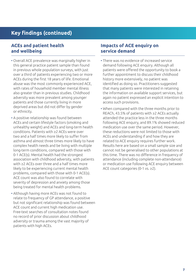## **Key findings (continued)**

### **ACEs and patient health and wellbeing**

- Overall ACE prevalence was marginally higher in this general practice patient sample than found in previous whole population surveys, with just over a third of patients experiencing two or more ACEs during the first 18 years of life. Emotional abuse was the most commonly experienced ACE, with rates of household member mental illness also greater than in previous studies. Childhood adversity was more prevalent among younger patients and those currently living in more deprived areas but did not differ by gender or ethnicity.
- A positive relationship was found between ACEs and certain lifestyle factors (smoking and unhealthy weight) and ACEs and long-term health conditions. Patients with ≥2 ACEs were over two and a half times more likely to suffer from asthma and almost three times more likely to have complex health needs and be living with multiple long-term conditions, compared with those with 0-1 ACE(s). Mental health had the strongest association with childhood adversity, with patients with ≥2 ACEs over three and a half times more likely to be experiencing current mental health problems, compared with those with 0-1 ACE(s). ACE count was also found to correlate with severity of depression and anxiety among those being treated for mental health problems.
- Although having more ACEs was not found to relate to frequency of GP attendance, a positive but not significant relationship was found between ACE count and current high medication use. Free-text searches of consultation notes found no record of prior discussion about childhood adversity or trauma among the vast majority of patients with high ACEs.

#### **Impacts of ACE enquiry on service demand**

- There was no evidence of increased service demand following ACE enquiry. Although all patients were offered the opportunity to book a further appointment to discuss their childhood history more extensively, no patient was identified as doing so. Practitioners suggested that many patients were interested in retaining the information on available support services, but again no patient expressed an explicit intention to access such provisions.
- When compared with the three months prior to REACh, 43.5% of patients with ≥2 ACEs actually attended the practice less in the three months following ACE enquiry, and 89.1% showed reduced medication use over the same period. However, these reductions were not limited to those with ACEs and understanding if and how they are related to ACE enquiry requires further work. Results here are based on a small sample size and cannot not be generalised to other populations at this time. There was no difference in frequency of attendance (including complete non-attendance) or medication use following ACE enquiry between ACE count categories (0-1 vs. ≥2).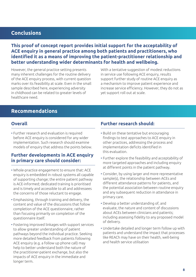## **Conclusions**

**This proof of concept report provides initial support for the acceptability of ACE enquiry in general practice among both patients and practitioners, who identified it as a means of improving the patient-practitioner relationship and better understanding wider determinants for health and wellbeing.**

However, the general practice setting presents many inherent challenges for the routine delivery of the ACE enquiry process, with current question marks over its feasibility at scale. Even in the small sample described here, experiencing adversity in childhood can be related to greater levels of healthcare need.

With a tentative suggestion of modest reductions in service use following ACE enquiry, results support further study of routine ACE enquiry as a mechanism to improve patient experience and increase service efficiency. However, they do not as yet support roll out at scale.

## **Recommendations**

### **Overall**

• Further research and evaluation is required before ACE enquiry is considered for any wider implementation. Such research should examine models of enquiry that address the points below.

## **Further developments in ACE enquiry in primary care should consider:**

- Whole-practice engagement to ensure that: ACE enquiry is embedded in robust systems all capable of supporting change; the entire patient pathway is ACE-informed; dedicated training is prioritised and is timely and accessible to all and addressees the concerns of those reluctant to engage.
- Emphasising, through training and delivery, the content and value of the discussions that follow completion of the ACE questionnaire, rather than focusing primarily on completion of the questionnaire itself.
- Fostering improved linkages with support services to allow greater understanding of patient pathways beyond the individual practice. Seeking more detailed feedback from patients following ACE enquiry (e.g. a follow up phone call) may help to better understand both the nature of the practitioner-patient exchange, but also the impacts of ACE enquiry in the immediate and longer term.

### **Further research should:**

- Build on these tentative but encouraging findings to test approaches to ACE enquiry in other practices, addressing the process and implementation deficits identified in this evaluation.
- Further explore the feasibility and acceptability of more targeted approaches and including enquiry at different points in the patient pathway.
- Consider, by using larger and more representative sample(s), the relationship between ACEs and different attendance patterns for patients, and the potential association between routine enquiry and any subsequent reduction in attendance in primary care.
- Develop a better understanding of, and evaluate, the nature and content of discussions about ACEs between clinicians and patients; including assessing fidelity to any proposed model of delivery.
- Undertake detailed and longer term follow up with patients and understand the impact that processes like REACh may have on their health, well-being and health service utilisation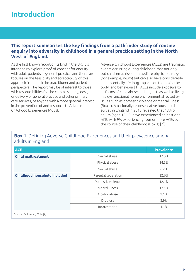## **Introduction**

## **This report summarises the key findings from a pathfinder study of routine enquiry into adversity in childhood in a general practice setting in the North West of England.**

As the first known report of its kind in the UK, it is intended to explore proof of concept for enquiry with adult patients in general practice, and therefore focuses on the feasibility and acceptability of this approach from both the practitioner and patient perspective. The report may be of interest to those with responsibilities for the commissioning, design or delivery of general practice and other primary care services, or anyone with a more general interest in the prevention of and response to Adverse Childhood Experiences (ACEs).

Adverse Childhood Experiences (ACEs) are traumatic events occurring during childhood that not only put children at risk of immediate physical damage (for example, injury) but can also have considerable and potentially life-long impacts on the brain, the body, and behaviour [1]. ACEs include exposure to all forms of child abuse and neglect, as well as living in a dysfunctional home environment affected by issues such as domestic violence or mental illness (Box 1). A nationally representative household survey in England in 2013 revealed that 48% of adults (aged 18-69) have experienced at least one ACE, with 9% experiencing four or more ACEs over the course of their childhood (Box 1; [2]).

## **Box 1.** Defining Adverse Childhood Experiences and their prevalence among adults in England

| <b>ACE</b>                          |                     | <b>Prevalence</b> |
|-------------------------------------|---------------------|-------------------|
| <b>Child maltreatment</b>           | Verbal abuse        | 17.3%             |
|                                     | Physical abuse      | 14.3%             |
|                                     | Sexual abuse        | 6.2%              |
| <b>Childhood household included</b> | Parental seperation | 22.6%             |
|                                     | Domestic violence   | 12.1%             |
|                                     | Mental illness      | 12.1%             |
|                                     | Alcohol abuse       | 9.1%              |
|                                     | Drug use            | 3.9%              |
|                                     | Incarceration       | 4.1%              |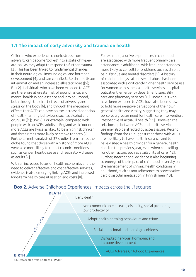## **1.1 The impact of early adversity and trauma on health**

Children who experience chronic stress from adversity can become 'locked' into a state of hyperarousal, as they adapt to respond to further trauma [3]. This has been linked to fundamental changes in their neurological, immunological and hormonal development [4], and can contribute to chronic tissue inflammation and an increased allostatic load ([5]; Box 2). Individuals who have been exposed to ACEs are therefore at greater risk of poor physical and mental health in adolescence and into adulthood, both through the direct effects of adversity and stress on the body [6], and through the mediating effects that ACEs can have on the increased adoption of health-harming behaviours such as alcohol and drug use ([1]; Box 2). For example, compared with people with no ACEs, adults in England with four or more ACEs are twice as likely to be a high risk drinker, and three times more likely to smoke tobacco [2]. Further, a meta-analysis of 37 studies from across the globe found that those with a history of more ACEs were also more likely to report chronic conditions such as cancer, heart disease and respiratory disease as adults [7].

With an increased focus on health economics and the need to deliver effective and cost-effective services, evidence is also emerging linking ACEs and increased long-term health care utilisation and costs [8].

For example, abusive experiences in childhood are associated with more frequent primary care attendance in adulthood, with frequent attendees more likely to consult for problems such as chronic pain, fatigue and mental disorders [9]. A history of childhood physical and sexual abuse has been associated with significantly higher health service use for women across mental health services, hospital outpatient, emergency department, speciality care and pharmacy services [10]. Individuals who have been exposed to ACEs have also been shown to hold more negative perceptions of their own general health and vitality, suggesting they may perceive a greater need for health care intervention, irrespective of actual ill health [11]. However, the relationship between ACEs and health service use may also be affected by access issues. Recent findings from the US suggest that those with ACEs are less likely to have health insurance and to have visited a health provider for a general health check in the previous year, even when controlling for other factors such as availability of care [12]. Further, international evidence is also beginning to emerge of the impact of childhood adversity on the management of chronic health conditions in adulthood, such as non-adherence to preventative cardiovascular medication in Finnish men [13].

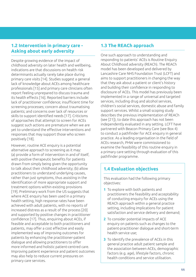## **1.2 Intervention in primary care - Asking about early adversity**

Despite growing evidence of the impact of childhood adversity on later health and wellbeing, indications are that discussions on health risk determinants actually rarely take place during primary care visits [14]. Studies suggest a general lack of knowledge about ACEs among healthcare professionals [15] and primary care clinicians often report feeling unprepared to discuss trauma and its health effects [16]. Reported barriers include: lack of practitioner confidence; insufficient time for screening processes; concern about traumatising patients; and concerns over lack of resources or skills to support identified needs [17]. Criticisms of approaches that attempt to screen for ACEs suggest such actions are premature when we are yet to understand the effective interventions and responses that may support those who screen positively [18].

However, routine ACE enquiry is a potential alternative approach to screening as it may: (a) provide a form of intervention in and of itself, with positive therapeutic benefits for patients drawn from simply being given the opportunity to talk about their childhood adversity; (b) allow practitioners to understand underlying causes, rather than just symptoms, thus assisting in the identification of more appropriate support and treatment options within existing provisions [19]. Preliminary work from the US suggests that where ACE enquiry has been used in a primary health setting, high response rates have been achieved with adult patients, with no reports of increased distress as a result of the process [20] and supported by positive changes in practitioner confidence [17]. Thus, enquiring about ACEs, if feasible and acceptable to both practitioners and patients, may offer a cost effective and easily implemented way of improving outcomes for patients by enhancing the practitioner-patient dialogue and allowing practitioners to offer more informed and holistic patient-centred care. Improving patient experience and patient outcomes may also help to reduce current pressures on primary care services.

## **1.3 The REACh approach**

One such approach to understanding and responding to patients' ACEs is Routine Enquiry About Childhood adversity (REACh). The REACh model has been developed and delivered by Lancashire Care NHS Foundation Trust (LCFT) and aims to support practitioners in changing the way that they ask about a patient or client's history and building their confidence in responding to disclosure of ACEs. This model has previously been implemented in a range of universal and targeted services, including drug and alcohol services, children's social services, domestic abuse and family support services. Whilst a small scoping study describes the previous implementation of REACh (see [21]), to date this approach has not been independently evaluated in any setting. LCFT have partnered with Beacon Primary Care (see Box 4) to conduct a pathfinder for ACE enquiry in general practice. As a leading organisation in the field of ACEs research, PHW were commissioned to examine the feasibility of this routine enquiry in a primary care setting through evaluation of this pathfinder programme.

## **1.4 Evaluation objectives**

This evaluation had the following primary objectives:

- **1** To explore with both patients and practitioners the feasibility and acceptability of conducting enquiry for ACEs using the REACh approach within a general practice setting, including implications for patient satisfaction and service delivery and demand;
- **2** To consider potential impacts of ACE enquiry on patients such as changes to the patient-practitioner dialogue and short-term health service use;
- **3** To identify the prevalence of ACEs in this general practice adult patient sample and the association between ACEs, demographic factors (e.g. age), lifestyle factors, chronic health conditions and service utilisation.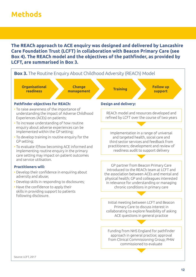## **Methods**

**The REACh approach to ACE enquiry was designed and delivered by Lancashire Care Foundation Trust (LCFT) in collaboration with Beacon Primary Care (see Box 4). The REACh model and the objectives of the pathfinder, as provided by LCFT, are summarised in Box 3.** 

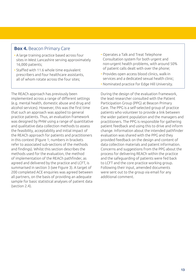## **Box 4.** Beacon Primary Care

- A large training practice based across four sites in West Lancashire serving approximately 16,000 patients;
- Staffed with 11.6 whole time equivalent prescribers and four healthcare assistants, all of whom rotate across the four sites;

The REACh approach has previously been implemented across a range of different settings (e.g. mental health, domestic abuse and drug and alcohol services). However, this was the first time that such an approach was applied to general practice patients. Thus, an evaluation framework was designed by PHW using a range of quantitative and qualitative data collection methods to assess the feasibility, acceptability and initial impact of the REACh approach for patients and practitioners in this context (Figure 1; numbers in brackets refer to associated sub-sections of the methods and findings). Whilst this section describes the methods used for the evaluation, the method of implementation of the REACh pathfinder, as agreed and delivered by the practice and LCFT, is summarised in section 3 (see Figure 3). A target of 200 completed ACE enquiries was agreed between all partners, on the basis of providing an adequate sample for basic statistical analyses of patient data (section 2.4).

- Operates a Talk and Treat Telephone Consultation system for both urgent and non-urgent health problems, with around 50% of patient calls dealt with over the phone;
- Provides open access blood clinics, walk-in services and a dedicated sexual health clinic;
- Nominated practice for Edge Hill University.

During the design of the evaluation framework, the lead researcher consulted with the Patient Participation Group (PPG) at Beacon Primary Care. The PPG is a self-selected group of practice patients who volunteer to provide a link between the wider patient population and the managers and practitioners. The PPG is responsible for gathering patient feedback and using this to drive and inform change. Information about the intended pathfinder evaluation was shared with the PPG and they provided feedback on the design and content of data collection materials and patient information. Concerns and suggestions from the PPG about the process for delivering REACh within the practice and the safeguarding of patients were fed back to LCFT and the core practice working group. Following their input, amended documents were sent out to the group via email for any additional comment.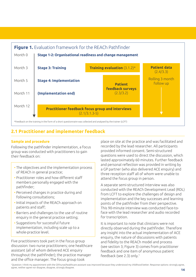

## **2.1 Practitioner and implementer feedback**

### **Sample and procedure**

Following the pathfinder implementation, a focus group was conducted with practitioners to gain their feedback on:

- The objectives and the implementation process of REACh in general practice;
- Practitioner roles and how different staff members personally engaged with the pathfinder;
- Perceived changes in practice during and following consultations;
- Initial impacts of the REACh approach on patients and staff;
- Barriers and challenges to the use of routine enquiry in the general practice setting;
- Suggestions for successful future implementation, including scale up to a whole-practice level.

Five practitioners took part in the focus group discussion: two nurse practitioners; one healthcare assistant (all of whom delivered ACE enquiry throughout the pathfinder); the practice manager and the office manager. The focus group took

place on site at the practice and was facilitated and recorded by the lead researcher. All participants provided informed consent. Semi-structured questions were used to direct the discussion, which lasted approximately 60 minutes. Further feedback and personal reflection was provided in writing by a GP partner (who also delivered ACE enquiry) and three reception staff all of whom were unable to attend the focus group in person.

A separate semi-structured interview was also conducted with the REACh Development Lead (RDL) from LCFT to explore the challenges of design and implementation and the key successes and learning points of the pathfinder from their perspective. This 90-minute interview was conducted face-toface with the lead researcher and audio recorded for transcription.

It is important to note that clinicians were not directly observed during the pathfinder. Therefore any insight into the actual implementation of ACE enquiry, the nature of discussions with patients and fidelity to the REACh model and process (see section 3; Figure 3) comes from practitioner feedback and one item of anonymous patient feedback (see 2.3) only.<sup>1</sup>

1 Question: I think my appointment with the GP/nurse/healthcare assistant was improved because they understood my childhood better. Response options: strongly agree, agree, neither agree nor disagree, disagree, strongly disagree.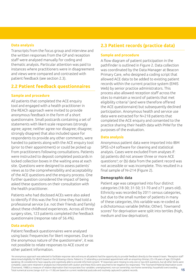#### **Data analysis**

Transcripts from the focus group and interview and the written responses from the GP and reception staff were analysed manually for coding and thematic analysis. Particular attention was paid to instances where practitioners were in disagreement and views were compared and contrasted with patient feedback (see section 2.3).

## **2.2 Patient feedback questionnaires**

#### **Sample and procedure**

All patients that completed the ACE enquiry tool and engaged with a health practitioner in the REACh approach were invited to provide anonymous feedback in the form of a short questionnaire. Small postcards containing a set of statements with likert-scale responses (strongly agree; agree; neither agree nor disagree; disagree; strongly disagree) that also included space for respondents to provide any other comments, were handed to patients along with the ACE enquiry tool (prior to their appointment) or could be picked up from practitioners following consultations. Patients were instructed to deposit completed postcards in locked collection boxes in the waiting area at each site. Questions were designed to assess patients' views as to the comprehensibility and acceptability of the ACE questions and the enquiry process. One further question considered the impact of being asked these questions on their consultation with the health practitioner.

Patients who had disclosed ACEs were also asked to identify if this was the first time they had told a professional service (i.e. not their friends and family) about these childhood experiences. Across all three surgery sites, 123 patients completed the feedback questionnaire (response rate of 56.4%).

#### **Data analysis**

Patient feedback questionnaires were analysed using basic frequencies for likert responses. Due to the anonymous nature of the questionnaire<sup>2</sup>, it was not possible to relate responses to ACE count or other patient information.

## **2.3 Patient records (practice data)**

#### **Sample and procedure**

A flow diagram of patient participation in the pathfinder is outlined in Figure 2. Data collection was coordinated by the Data Manager at Beacon Primary Care, who designed a coding script that allowed ACE data to be added to existing patient records within the current practice system (EMIS Web) by senior practice administrators. This process also allowed reception staff across the sites to maintain a record of patients that met eligibility criteria<sup>3</sup> (and were therefore offered the ACE questionnaire) but subsequently declined participation. Anonymous health and service use data were extracted for N=218 patients that completed the ACE enquiry and consented to the practice sharing their health data with PHW for the purposes of the evaluation.

#### **Data analysis**

Anonymous patient data were imported into IBM SPSS v24 software for cleaning and statistical analysis. Cases were excluded from analyses if: (a) patients did not answer three or more ACE questions<sup>4</sup> ; or (b) data from the patient record was not accessible or was incomplete. This resulted in a final sample of N=214 (Figure 2).

#### **Demographic data**

Patient age was categorised into four distinct categories (18-30; 31-50; 51-70 and ≥71 years old). Ethnicity was recorded by 2011 census categories, but due to the small number of patients in many of these categories, this variable was re-coded as a dichotomous variable (White; Other). Townsend scores<sup>5</sup> for deprivation were split into tertiles (high, medium and low deprivation).

<sup>2</sup>An anonymous approach was selected to facilitate response rate and ensure all patients had the opportunity to provide feedback directly to the research team. <sup>3</sup>Reception staff determined eligibility for REACh based on the following criteria. Patient is: (1) attending a pre-booked appointment with an enquiring clinician; (2) ≥18 years of age; (3) English speaking; (4) considered to have capacity and cognitively able to provide informed consent. <sup>4</sup> If responses were missing to only one or two ACE questions, but all other items were complete, cases were retained in analyses but interpreted with caution and these ACEs were assumed to be negative (no responses). <sup>5</sup> The Townsend Material Deprivation score (Townsend, 1988) is a measure of relative deprivation that incorporates four variables: unemployment; non-car ownership; non-home ownership; household overcrowding. Total numerical scores (range -6.61 to +11.06) are based on current residential postcode and routinely captured in patient records.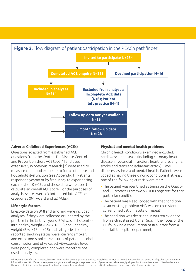

#### **Adverse Childhood Experiences (ACEs)**

Questions adapted from established ACE questions from the Centers for Disease Control and Prevention short ACE tool [1] and used extensively in previous research [7] were used to measure childhood exposure to forms of abuse and household dysfunction (see Appendix 1). Patients responded yes/no or by frequency to experiencing each of the 10 ACEs and these data were used to calculate an overall ACE score. For the purposes of analysis, scores were dichotomised into ACE count categories (0-1 ACE(s) and ≥2 ACEs).

#### **Life style factors**

Lifestyle data on BMI and smoking were included in analyses if they were collected or updated by the practice in the last five years. BMI was dichotomised into healthy weight (BMI = 18-25) and unhealthy weight (BMI <18 or >25) and categories for selfreported smoking status were: current smoker; and ex- or non-smoker. Measures of patient alcohol consumption and physical activity/exercise level were poorly completed and were therefore not used in analyses.

#### **Physical and mental health problems**

Chronic health conditions examined included: cardiovascular disease (including coronary heart disease; myocardial infarction; heart failure; angina; stroke and transient ischaemic attack); Type II diabetes; asthma and mental health. Patients were coded as having these chronic conditions if at least one of the following criteria were met:

- The patient was identified as being on the Quality and Outcomes Framework (QOF) register<sup>6</sup> for that particular condition;
- $\cdot$  The patient was Read<sup>7</sup> coded with that condition as an existing problem AND was on consistent current medication (acute or repeat);
- The condition was described in written evidence from a clinical practitioner (e.g. in the notes of the GP following a consultation or in a letter from a specialist hospital department).

6 The QOF is part of General Medical Services contract for general practices and was established in 2004 to reward practices for the provision of quality care. For more information see http://www.nhsemployers.org/your-workforce/primary-care-contacts/general-medical-services/quality-and-outcomes-framework. 7 Read codes are a thesaurus of clinical terms that provide a standard vocabulary for clinicians to record patient findings and procedures in health and social care.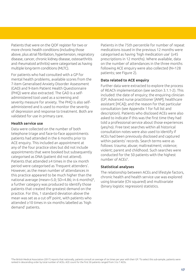Patients that were on the QOF register for two or more chronic health conditions (including those above, plus atrial fibrillation, hypertension, respiratory disease, cancer, chronic kidney disease, osteoarthritis and rheumatoid arthritis) were categorised as having multiple long-term conditions (MLTC).

For patients who had consulted with a GP for mental health problems, available scores from the 7-item Generalised Anxiety Disorder Assessment (GAD) and 9-item Patient Health Questionnaire (PHQ) were also extracted. The GAD is a selfadministered tool used as a screening and severity measure for anxiety. The PHQ is also selfadministered and is used to monitor the severity of depression and response to treatment. Both are validated for use in primary care.

#### **Health service use**

Data were collected on the number of both telephone triage and face-to-face appointments patients had attended in the 6 months prior to ACE enquiry. This included an appointment at any of the four practice sites but did not include appointments that were booked but subsequently categorised as DNA (patient did not attend). Patients that attended ≥4 times in the six month period were categorised as 'frequent attenders'. However, as the mean number of attendances in this practice appeared to be much higher than the national average (mean=5.0; SD=4.86; in 6 months) $\delta$ , a further category was produced to identify those patients that created the greatest demand on the practice. For this, 1 standard deviation above the mean was set as a cut off point, with patients who attended ≥10 times in six months labelled as 'high demand' patients.

Patients in the 75th percentile for number of repeat medications issued in the previous 12 months were categorised as having 'high medication use' (≥45 prescriptions in 12 months). Where available, data on the number of attendances in the three months following ACE enquiry were also collected (N=128 patients; see Figure 2).

#### **Data related to ACE enquiry**

Further data were extracted to explore the process of REACh implementation (see section 3.1.1-2). This included: the date of enquiry; the enquiring clinician (GP; Advanced nurse practitioner [ANP]; healthcare assistant [HCA]); and the reason for that particular consultation (see Appendix 1 for full list and description). Patients who disclosed ACEs were also asked to indicate if this was the first time they had told a professional service about those experiences (yes/no). Free text searches within all historical consultation notes were also used to identify if ACEs had been previously disclosed and captured within patients' records. Search terms were as follows: trauma; abuse; maltreatment; violence; violent; parent and childhood. Such searches were conducted for the 50 patients with the highest number of ACEs<sup>9</sup>.

#### **Statistical analyses**

The relationship between ACEs and lifestyle factors, chronic health and health service use was explored using bivariate (Chi squared) and multivariate (binary logistic regression) statistics.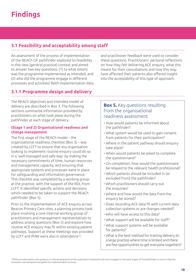## **3.1 Feasibility and acceptability among staff**

An assessment of the process of implementation of the REACh GP pathfinder explored its feasibility in this new (general practice) context and aimed to answer two key questions: (1) to what extent was the programme implemented as intended; and (2) who did the programme engage in different processes and activities? Both implementation data

and practitioner feedback were used to consider these questions. Practitioners' personal reflections on how they felt delivering ACE enquiry, what this meant for their consultations and how this may have affected their patients also offered insight into the acceptability of this type of approach.

## **3.1.1 Programme design and delivery**

The REACh objectives and intended model of delivery are described in Box 3. The following sections summarise information provided by practitioners on what took place during the pathfinder at each stage of delivery.

#### **(Stage 1 and 2) Organisational readiness and change management**

The first stage of the REACh model – the organisational readiness checklist (Box 3) – was created by LCFT to ensure that any organisation looking to implement routine enquiry could do so in a 'well-managed and safe way' by making the necessary commitments of time, human resources and management capacity, and ensuring that appropriate systems and processes were in place for safeguarding and information governance. This checklist was completed by a working group at the practice, with the support of the RDL from LCFT. It identified specific actions and decisions which needed to be taken to support the REACh pathfinder (Box 5).

Prior to the implementation of ACE enquiry across Beacon Primary Care sites, a planning process took place involving a core internal working group of practitioners and management representatives to address arising questions (Box 5) and explore how routine ACE enquiry may fit within existing patient pathways. Support at these meetings was provided by LCFT and PHW were also in attendance<sup>10</sup>.

### **Box 5.** Key questions resulting from the organisational readiness assessment

- How would patients be informed about the pathfinder?
- What system would be used to gain consent from patients for their participation?
- Where in the patient pathway should enquiry take place?
- When would patients be asked to complete the questionnaire?
- On completion, how would the questionnaire be relayed to the relevant health professional?
- Which patients should be included in (or excluded from) the pathfinder?
- Which practitioners should carry out the enquiries?
- Where and how would the data from the enquiry be stored?
- Does recording ACE data fit with current data collection systems or are changes needed?
- Who will have access to this data?
- What support will be available for staff?
- What support systems will be available for patients?
- What is the best method for training delivery (in a large practice where time is limited and there are few opportunities to get everyone together)?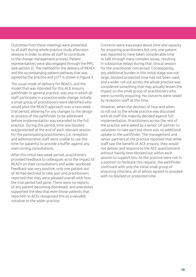Outcomes from these meetings were presented to all staff during whole-practice study afternoon sessions in order to allow all staff to contribute to the change management process. Patient representatives were also engaged through the PPG (see section 2). The method for the delivery of REACh and the accompanying patient pathway that was agreed by the practice and LCFT is shown in Figure 3.

The usual mode of delivery for REACh, and the model that was intended for this ACE enquiry pathfinder in general practice, was one in which all staff participate in a practice-wide change. Initially a small group of practitioners were identified who would pilot the REACh approach over a two-week trial period, allowing for any changes to the design or process of the pathfinder to be addressed before implementation was extended to the full practice. During this period, time was blocked out/protected at the end of each relevant session for the participating practitioners (i.e. reception and administrative staff were unable to use this time for patients) to provide a buffer against any overrunning consultations.

After this initial two-week period, practitioners provided feedback to colleagues as to the impact of REACh on their consultations and wider workload. Feedback was very positive; only one patient out of 40 had declined to take part and practitioners reported that they were pleased overall with how the trial period had gone. There were no reports of any patient becoming distressed, and anecdotes supported the idea that even those patients that reported no ACEs recognised this as a valuable initiative to the wider practice.

Concerns were expressed about time and capacity for enquiring practitioners but only one patient was reported to have taken considerable time to talk through many complex issues, resulting in substantial delays during that clinical session for the practitioner concerned. Consequently, any additional burden in this initial stage was not large, blocked protected time had not been used, and a wider roll out across the whole practice was considered something that may actually lessen the impact on the small group of practitioners who were currently enquiring. No concerns were raised by reception staff at this time.

However, when the decision of how and when to roll out to the whole practice was discussed with all staff the majority decided against full implementation. Practitioners across the rest of the practice were asked by a senior GP partner to volunteer to take part but there was no additional uptake to the pathfinder. The management and senior partners at the practice reported that while staff saw the benefit of ACE enquiry, they would not deliver and respond to the ACE questionnaire without having time blocked out within each session to support this. As the practice were not in a position to facilitate this request, the pathfinder continued with only the initial small group of enquiring clinicians; all of whom agreed to proceed with no blocked or protected time.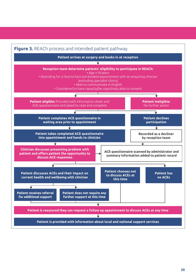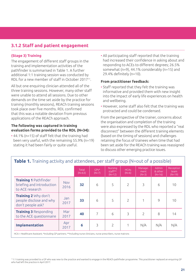## **3.1.2 Staff and patient engagement**

#### **(Stage 3) Training**

The engagement of different staff groups in the training and implementation activities of the pathfinder is summarised in Table 1. A further additional 1:1 training session was conducted by RDL for a new member of staff in October 201711.

All but one enquiring clinician attended all of the three training sessions. However, many other staff were unable to attend all sessions. Due to other demands on the time set aside by the practice for training (monthly sessions), REACh training sessions took place over five months. RDL confirmed that this was a notable deviation from previous applications of the REACh approach.

#### **The following was captured in training evaluation forms provided to the RDL (N=34):**

• 44.1% (n=15) of staff felt that the training had been very useful, with the remaining 55.9% (n=19) stating it had been fairly or quite useful.

• All participating staff reported that the training had increased their confidence in asking about and responding to ACEs to different degrees; 26.5% somewhat (n=9), 44.1% considerably (n=15) and 29.4% definitely (n=10).

#### **From practitioner feedback:**

- Staff reported that they felt the training was informative and provided them with new insight into the impact of early life experiences on health and wellbeing.
- However, some staff also felt that the training was protracted and could be condensed.

From the perspective of the trainer, concerns about the organisation and completion of the training were also expressed by the RDL who reported a "real disconnect" between the different training elements (based on the timing of sessions) and challenges retaining the focus of trainees when time that had been set aside for the REACh training was reassigned to discuss other emerging practice issues.

|             |    |                   | <b>Nursing</b><br>staff**<br>$(N=12)$ | <b>HCAs</b><br>$(N=6)$ | Manage-<br>ment<br>$(N=3)$ | <b>Admin</b><br>& other<br>$(N=16)$ | Reception<br>team<br>$(N=19)$ |
|-------------|----|-------------------|---------------------------------------|------------------------|----------------------------|-------------------------------------|-------------------------------|
| Nov<br>2016 | 32 | 6                 | 5                                     | $\overline{2}$         | 3                          | 6                                   | 10                            |
| Jan<br>2017 | 33 | 6                 | 5                                     | $\overline{2}$         |                            | 9                                   | 10                            |
| Mar<br>2017 | 40 | 7                 | 6                                     | 3                      | 2                          | 8                                   | 14                            |
| Арг<br>2017 | 6  | 3                 | $\overline{c}$                        |                        | N/A                        | N/A                                 | N/A                           |
|             |    | Total<br>$(N=63)$ | $GPs*$<br>$(N=7)$                     |                        |                            |                                     |                               |

## **Table 1.** Training activity and attendees, per staff group (N=out of a possible)

<sup>11</sup>1:1 training was provided to a GP who was new to the practice and wanted to engage in the REACh pathfinder programme. This practitioner replaced an enquiring GP who had left the practice in April 2017.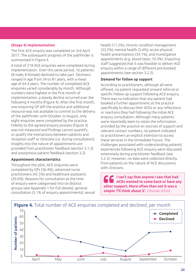#### **(Stage 4) Implementation**

The first ACE enquiry was completed on 3rd April 2017. The subsequent progress of the pathfinder is summarised in Figure 4.

A total of 218 ACE enquiries were completed during implementation. Over this same period, 16 patients (8 male; 8 female) declined to take part. Decliners ranged in age from 34 to 81 years, with a mean age of 64.4 years. The number of completed ACE enquiries varied considerably by month. Although numbers were highest in the first month of implementation, a steady decline occurred over the following 4 months (Figure 4). After the first month, one enquiring GP left the practice and additional resource was not available to commit to the delivery of the pathfinder until October. In August, only eight enquiries were completed by the practice. Fidelity to the agreed enquiry process (Figure 3) was not measured and findings cannot quantify or qualify the interactions between patients and reception staff or clinicians (i.e. during consultation). Insights into the nature of appointments are provided from practitioner feedback (section 3.1.3) and anonymous patient feedback (section 3.2).

#### **Appointment characteristics**

Throughout the pilot, ACE enquiries were completed by GPs (36.4%), advanced nurse practitioners (42.5%) and healthcare assistants (20.6%). Reasons for consultation at the time of enquiry were categorised into six distinct groups (see Appendix 1 for full details): general consultation (5.1% of enquiry appointments); sexual

health (11.2%); chronic condition management (33.2%); mental health (5.6%); acute physical health presentations (34.1%); and investigative appointments (e.g. blood tests; 10.3%). Enquiring staff suggested that it was feasible to deliver ACE enquiry within a range of different pre-booked appointments (see section 3.2.2).

#### **Demand for follow up support**

According to practitioners, although all were offered, no patient requested onward referral or specific follow up support following ACE enquiry. There was no indication that any patient had booked a further appointment at the practice specifically to discuss their ACEs or any reflections or reactions they had following the initial ACE enquiry consultation. Although many patients were reportedly keen to retain the information provided by the practice on sources of support and relevant contact numbers, no patient indicated to practitioners an explicit intention to access these services in the immediate future. The challenges associated with understanding patients' experiences following ACE enquiry were discussed extensively during practitioner feedback (see 3.2.3). However, no data were collected directly from patients on the nature of ACE discussions with clinicians.

**I can't say that anyone I saw that had ACEs wanted to come back or have any other support. More often than not it was a simple 'I'll think about it'.** Clinician (HCA)

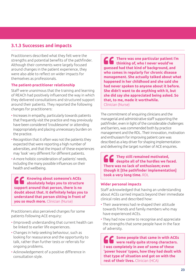## **3.1.3 Successes and impacts**

Practitioners described what they felt were the strengths and potential benefits of the pathfinder. Although their comments were largely focused around changes in the patient experience, they were also able to reflect on wider impacts for themselves as professionals.

#### **The patient-practitioner relationship**

Staff were unanimous that the training and learning of REACh had positively influenced the way in which they delivered consultations and structured support around their patients. They reported the following changes for practitioners:

- Increases in empathy, particularly towards patients that frequently visit the practice and may previously have been considered 'troublesome' or attending inappropriately and placing unnecessary burden on the practice.
- Recognition that it often was not the patients they expected that were reporting a high number of adversities, and that the impact of these experiences may 'look' very different for different patients.
- A more holistic consideration of patients' needs, including the many possible influences on their health and wellbeing.

**Knowing about someone's ACEs absolutely helps you to structure support around that person, there is no doubt about that. It definitely helps you to understand that person sitting in front of you so much more.** Clinician (Nurse)

Practitioners also perceived changes for some patients following ACE enquiry:

- (Improved) understanding that current health can be linked to earlier life experiences.
- Changes in help seeking behaviour, such as looking for reassurance and the opportunity to talk, rather than further tests or referrals for ongoing problems.
- Acknowledgement of a positive difference in consultation style.

**There was one particular patient I'm thinking of, who I never would've guessed had that kind of background, and who comes in regularly for chronic disease management. She actually talked about what happened in her childhood and she said she had never spoken to anyone about it before. She didn't want to do anything with it, but she did say she appreciated being asked. So that, to me, made it worthwhile.** Clinician (Nurse)

The commitment of enquiring clinicians and the managerial and administrative staff supporting the pathfinder, even in light of the considerable challenges and barriers, was commended both by practice management and the RDL. Their innovation, motivation and enthusiasm for improving patient care was described as a key driver for shaping implementation and delivering the target number of ACE enquiries.

**They still remained motivated, despite all of the hurdles we faced. There was no lack of enthusiasm; even though it [the pathfinder implementation] took a very long time.** RDL

#### **Wider personal impacts**

Staff acknowledged that having an understanding about ACEs carried impacts beyond their immediate clinical roles and described how:

- Their awareness had re-shaped their attitude towards friends and family members who may have experienced ACEs.
- They had now come to recognise and appreciate the strengths that some people have in the face of adversity.

**Some people that came in with ACEs were really quite strong characters. I was completely in awe of some of these 'power house' types, how they had dealt with that type of situation and got on with the rest of their lives.** Clinician (HCA)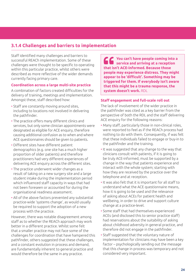## **3.1.4 Challenges and barriers to implementation**

Staff identified many challenges and barriers to successful REACh implementation. Some of these challenges were thought to be specific to operating within this particular practice, whilst others were described as more reflective of the wider demands currently facing primary care.

#### **Coordination across a large multi-site practice**

A combination of factors created difficulties for the delivery of training, meetings and implementation. Amongst these, staff described how:

- Staff are constantly moving around sites, including to locations not involved in delivering the pathfinder.
- The practice offers many different clinics and services, but only some clinician appointments were designated as eligible for ACE enquiry, therefore causing additional confusion as to when and where ACE questionnaires should be given to patients.
- Different sites have different patient demographics (e.g. one site has a much higher proportion of older patients) and therefore practitioners had very different experiences of delivering ACE enquiry across the different sites.
- The practice underwent wider changes as a result of taking on a new surgery site and a large student intake during the implementation period which influenced staff capacity in ways that had not been foreseen or accounted for during the organisational readiness assessment.
- All of the above factors prevented any substantial practice-wide 'systems change', as would usually be required to support the adoption of a new process with the practice.

However, there was notable disagreement among staff as to whether the REACh approach may work better in a different practice. Whilst some felt that a smaller practice may not face some of the challenges for coordination that have hampered this pathfinder, others suggested that these challenges, and a constant evolution in process and demand, are fundamentally inherent to general practice and would therefore be the same in any practice.

**You can't have people coming into a service and arriving at a reception that isn't ACE-informed. Because those people may experience distress. They might appear to be 'difficult'. Something may be triggered for them. If everybody isn't aware that this might be a trauma response, the system doesn't work.** RDL

#### **Staff engagement and full-scale roll out**

The lack of involvement of the wider practice in the pathfinder was cited as a key barrier from the perspective of both the RDL and the staff delivering ACE enquiry for the following reasons:

- Many staff, particularly those in non-clinical roles, were reported to feel as if the REACh process had nothing to do with them. Consequently, if was felt that these individuals failed to engage or buy-in to the pathfinder and the training.
- It was suggested that any change to the way that clinicians consult with patients, if it is going to be truly ACE-informed, must be supported by a change in the way that patients experience and interact with the whole system; starting with how they are received by the practice over the telephone and at reception.
- It was also felt that it is important for all staff to understand what the ACE questionnaire means, how it is going to be used and the relevance of asking about ACEs for patient health and wellbeing, in order to drive and support culture change at a practice-level.
- Some staff that had themselves experienced ACEs (and disclosed this to senior practice staff) had reservations about the suitability of asking about childhood adversity in general practice, and therefore did not engage in the pathfinder.
- Staff suggested that the voluntary nature of implementation for clinicians may have been a key factor – psychologically sending out the message that this change in process was temporary and not considered very important.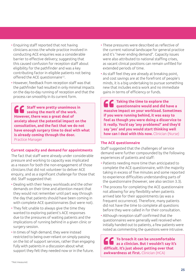- Enquiring staff reported that not having clinicians across the whole practice involved in conducting ACE enquiries was a considerable barrier to effective delivery; suggesting that this caused confusion for reception staff about eligibility for the pathfinder and was a key contributing factor in eligible patients not being offered the ACE questionnaire<sup>12</sup>.
- However, feedback from reception staff was that the pathfinder had resulted in only minimal impacts on the day-to-day running of reception and that the process ran smoothly in its current form.

**Staff were pretty unanimous in seeing the merit of the work. However, there was a great deal of anxiety about the potential impact on the consultation, and the fact that we do not have enough surgery time to deal with what is already coming through the door.** Practice Manager

#### **Current capacity and demand for appointments**

The fact that staff were already under considerable pressure and working to capacity was implicated as a reason for both the non-engagement of those clinicians that did not volunteer to deliver ACE enquiry, and as a significant challenge for those that did. Staff suggested that:

- Dealing with their heavy workloads and the other demands on their time and attention meant that they would not remember until part way through the day that patients should have been coming in with complete ACE questionnaires (but were not).
- They felt unable to always give the time they wanted to exploring patient's ACE responses due to the pressures of waiting patients and the implications of running behind in a given clinic or surgery session.
- In times of high demand, they were instead restricted to being over-reliant on simply passing on the list of support services, rather than engaging fully with patients in a discussion about what support they felt they needed now or in the future.
- These pressures were described as reflective of the current national landscape for general practice and it's "never ending demand". Capacity issues were also attributed to national staffing crises, as vacant clinical positions can remain unfilled for extended periods of time.
- As staff feel they are already at breaking point, and cost savings are at the forefront of people's minds, it is a big undertaking to pursue something new that includes extra work and no immediate gains in terms of efficiency or funds.

**Taking the time to explore the questionnaire would and did have a massive impact on your workload. Sometimes if you were running behind, it was easy to feel as though you were doing a disservice to it really. You'd say 'any problems?' and they'd say 'yes' and you would start thinking well how can I deal with this now.** Clinician (Nurse)

#### **The ACE questionnaire**

Staff suggested that the challenges of service demand were further compounded by the following experiences of patients and staff:

- Patients needing more time than anticipated to complete the ACE questionnaire, with the majority taking in excess of five minutes and some reported to experience difficulties understanding parts of the questionnaire (however, see also section 3.3).
- The process for completing the ACE questionnaire not allowing for any flexibility when patients arrived late for their appointments (as was a frequent occurrence). Therefore, many patients did not have the time to complete all questions before they were called in for their consultation.
- Although reception staff confirmed that the questionnaires were generally well received when initially handed out to patients, a few patients were noted as commenting the questions were intrusive.

**To broach it can be uncomfortable as a clinician. But I wouldn't say it's difficult. It's just about getting over that awkwardness at first.** Clinician (HCA)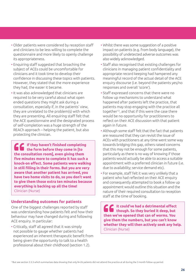- Older patients were considered by reception staff and clinicians to be less willing to complete the questionnaire and more likely to openly challenge its appropriateness.
- Enquiring staff suggested that broaching the subject of ACEs could be uncomfortable for clinicians and it took time to develop their confidence in discussing these topics with patients. However, they stated that the more experience they had, the easier it became.
- It was also acknowledged that clinicians are required to be very careful about what open ended questions they might ask during a consultation, especially if, in the patients' view, they are unrelated to the problem(s) with which they are presenting. All enquiring staff felt that the ACE questionnaire and the designated process of self-completion was a huge strength of the REACh approach – helping the patient, but also protecting the clinician.

**If they haven't finished completing the form before they come in [to the consultation room], even giving them five minutes more to complete it has such a knock-on effect. Some patients were walking in still filling in their forms. But you are very aware that another patient has arrived, you have two home visits to do, so you don't want to give them those extra ten minutes because everything is backing up all the time!**  Clinician (Nurse)

#### **Understanding outcomes for patients**

One of the biggest challenges reported by staff was understanding how patients felt and how their behaviour may have changed during and following ACE enquiry. In particular:

• Critically, staff all agreed that it was simply not possible to gauge whether patients had experienced an inherent therapeutic benefit from being given the opportunity to talk to a health professional about their childhood (section 1.2).

- Whilst there was some suggestion of a positive impact on patients (e.g. from body language), the possibility of undetected adverse outcomes was also widely acknowledged.
- Staff also recognised that existing challenges for clinicians in managing patient confidentiality and appropriate record keeping had hampered any meaningful record of the actual detail of the ACE enquiry discourse (i.e. beyond the patients yes/no responses and overall 'score').
- Staff expressed concerns that there were no follow up mechanisms to understand what happened after patients left the practice, that patients may stop engaging with the practice all together13, and that if this were the case there would be no opportunity for practitioners to reflect on their ACE discussion with that patient again in future.
- Although some staff felt that the fact that patients are reassured that they can revisit the issue of ACEs with practitioners at any time went some way towards bridging this gap, others raised concerns that this may not be enough for some patients, particularly as there is no way of knowing if those patients would actually be able to access a suitable appointment with a preferred clinician in future (i.e. due to availability; service demand etc).
- For example, staff felt it was very unlikely that a patient who had reflected on their ACE enquiry and consequently attempted to book a follow up appointment would outline this situation and the nature of their required consultation to reception staff at the time of booking.

**It could've had a detrimental effect though. So they buried it deep, but then we've opened that can of worms. You give them the numbers, but you can't know whether they will then actively seek any help.**  Clinician (Nurse)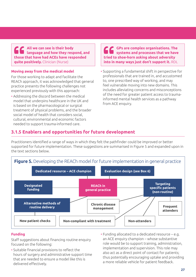**All we can see is their body language and how they respond, and those that have had ACEs have responded quite positively.** Clinician (Nurse)

#### **Moving away from the medical model**

For those working to adapt and facilitate the REACh approach, it was acknowledged that general practice presents the following challenges not experienced previously with this approach:

• Addressing the discord between the medical model that underpins healthcare in the UK and is based on the pharmacological or surgical treatment of physical problems, and the broader social model of health that considers social, cultural, environmental and economic factors needed to support trauma-informed care.

**GPs are complex organisations. The systems and processes that we have tried to shoe-horn asking about adversity into in many ways just don't support it.** RDL

• Supporting a fundamental shift in perspective for professionals that are trained in, and accustomed to, one prescribed way of working, and may feel vulnerable moving into new domains. This includes alleviating concerns and misconceptions of the need for greater patient access to traumainformed mental health services as a pathway from ACE enquiry.

## **3.1.5 Enablers and opportunities for future development**

Practitioners identified a range of ways in which they felt the pathfinder could be improved or better supported for future implementation. These suggestions are summarised in Figure 5 and expanded upon in the text sections below.



#### **Funding**

Staff suggestions about financing routine enquiry focused on the following:

- Suitable financial provisions to reflect the hours of surgery and administrative support time that are needed to ensure a model like this is delivered effectively.
- Funding allocated to a dedicated resource e.g. an ACE enquiry champion – whose substantive role would be to support training, administration, implementation and supervision. This role may also act as a direct point of contact for patients; thus potentially encouraging uptake and providing a more reliable vehicle for patient feedback.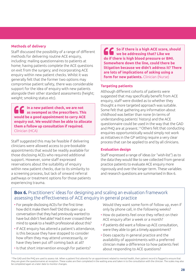#### **Methods of delivery**

Staff discussed the possibility of a range of different methods for delivering routine ACE enquiry, including: mailing questionnaires to patients at home; having patients complete the ACE questions on exit from the surgery; and incorporating ACE enquiry within new patient checks. Whilst it was generally felt that the former two options may compromise patient safety, there was considerable support for the idea of enquiry with new patients alongside their other standard assessments (height; weight; smoking status etc).

**In a new patient check, we are not as swamped as the prescribers. This would be a good appointment to carry ACE enquiry out. We would then be able to allocate them a follow up consultation if required.**  Clinician (HCA)

Staff suggested this may be feasible if delivering clinicians were allowed access to pre-bookable appointments that would be readily available for those disclosing ACEs who required additional support. However, some staff expressed reservations about the suitability of enquiry within new patient checks, due to its similarity to a screening process, but lack of onward referral pathways or treatment options for those patients experiencing trauma.

**So if there is a high ACE score, should we be addressing that? Like we do if there is high blood pressure or BMI. Somewhere down the line, could there be litigation because we didn't address it? There are lots of implications of asking using a form for new patients.** Clinician (Nurse)

#### **Targeting patients**

Although different cohorts of patients were suggested that may specifically benefit from ACE enquiry, staff were divided as to whether they thought a more targeted approach was suitable. Some felt that gathering any information about childhood was better than none (in terms of understanding patients' history) and the ACE questionnaire could be used in the way that the GAD and PHO are at present.<sup>14</sup> Others felt that conducting enquiries opportunistically would simply not work as initiatives in the GP setting require a very clear process that can be applied to and by all clinicians.

#### **Evaluation design**

Staff expressed a range of ideas (or "wish-list") as to the data they would like to see collected from general practice patients to evaluate ACE enquiry more rigorously and over the longer term. These variables and research questions are summarised in Box 6.

### **Box 6.** Practitioners' ideas for designing and scaling an evaluation framework assessing the effectiveness of ACE enquiry in general practice

- For people disclosing ACEs for the first time: how did it make them feel? Did this open up a conversation that they had previously wanted to have but didn't feel able? Had it ever crossed their mind to speak to a health professional about this?
- If ACE enquiry has altered a patient's attendance, is this because they have stopped to consider how often they may attend unnecessarily, or have they been put off coming back at all?
- Is that short intervention enough for patients?

Would they want some form of follow up, even if only by phone call, in the following weeks?

- How do patients feel once they reflect on their ACE enquiry after a week or a month?
- If patients did want a follow up ACE consultation, were they able to get a timely appointment?
- Does capacity in general practice and the availability of appointments with a preferred clinician make a difference to how patients feel about responding to ACE questions?

<sup>14</sup>The GAD and the PHQ are used to assess risk. When a patient first attends for an appointment related to mental health, their patient record is flagged to ensure that they are given the questionnaires at reception. These scales are then completed in the waiting area and taken in to the consultation with the clinician. The scales may also be completed again at a later date to monitor changes.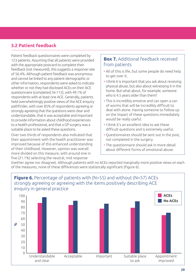## **3.2 Patient feedback**

Patient feedback questionnaires were completed by 123 patients. Assuming that all patients were provided with the appropriate postcard to complete their feedback (not measured), this suggests a response rate of 56.4%. Although patient feedback was anonymous and cannot be linked to any patient demographic or other information, respondents were asked to indicate whether or not they had disclosed ACEs on their ACE questionnaire (completed; N=112), with 49.1% of respondents with at least one ACE. Generally, patients held overwhelmingly positive views of the ACE enquiry pathfinder, with over 85% of respondents agreeing or strongly agreeing that the questions were clear and understandable, that it was acceptable and important to provide information about childhood experiences to a health professional, and that a GP surgery was a suitable place to be asked these questions.

Over two thirds of respondents also indicated that their appointment with the health practitioner was improved because of this enhanced understanding of their childhood. However, opinion was overall more divided on this measure, with around one in five (21.1%) selecting the neutral, mid response

## **Box 7.** Additional feedback received from patients

- All of this is life, but some people do need help to get over it.
- I think it is important that you ask about receiving physical abuse, but also about witnessing it in the home. But what about, for example, someone who is 4.5 years older than them?
- This is incredibly emotive and can open a can of worms that will be incredibly difficult to deal with alone. Having someone to follow up on the impact of these questions immediately would be really useful.
- I think it's an excellent idea to ask these difficult questions and is extremely useful.
- Questionnaires should be sent out in the post, not completed in the surgery.
- The questionnaire should ask in more detail about different forms of emotional abuse.

(neither agree nor disagree). Although patients with no ACEs reported marginally more positive views on each of the measures, none of these differences were statistically significant (Figure 6).



#### **29**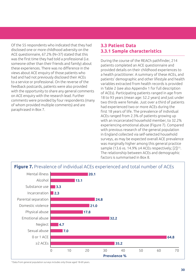Of the 55 respondents who indicated that they had disclosed one or more childhood adversity on the ACE questionnaire, 67.2% (N=37) stated that this was the first time they had told a professional (i.e. someone other than their friends and family) about these experiences. There was no difference in the views about ACE enquiry of those patients who had and had not previously disclosed their ACEs to a service or professional. On the reverse of the feedback postcards, patients were also provided with the opportunity to share any general comments on ACE enquiry with the research lead. Further comments were provided by four respondents (many of whom provided multiple comments) and are paraphrased in Box 7.

## **3.3 Patient Data 3.3.1 Sample characteristics**

During the course of the REACh pathfinder, 214 patients completed an ACE questionnaire and provided details on their childhood experiences to a health practitioner. A summary of these ACEs, and patients' demographic and other lifestyle and health variables extracted from health records is provided in Table 2 (see also Appendix 1 for full description of ACEs). Participating patients ranged in age from 18 to 93 years (mean age: 52.2 years) and just under two thirds were female. Just over a third of patients had experienced two or more ACEs during the first 18 years of life. The prevalence of individual ACEs ranged from 2.3% of patients growing up with an incarcerated household member, to 32.2% experiencing emotional abuse (Figure 7). Compared with previous research of the general population in England collected via self-selected household surveys, as may be expected overall ACE prevalence was marginally higher among this general practice sample (13.6 vs. 14.9%  $\geq$ 4 ACEs respectively; [2])<sup>15</sup>. The relationship between ACEs and demographic factors is summarised in Box 8.



<sup>15</sup>Data from general population surveys includes only those aged 18-69 years.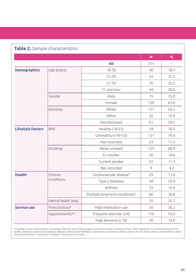| <b>Table 2.</b> Sample characteristics |                     |                                            |     |      |
|----------------------------------------|---------------------|--------------------------------------------|-----|------|
|                                        |                     |                                            | N   | %    |
|                                        |                     | All                                        | 214 |      |
| <b>Demographics</b>                    | Age (years)         | $18 - 30$                                  | 40  | 18.7 |
|                                        |                     | $31 - 50$                                  | 54  | 25.2 |
|                                        |                     | $51 - 70$                                  | 76  | 35.5 |
|                                        |                     | 71 and over                                | 44  | 20.6 |
|                                        | Gender              | Male                                       | 75  | 35.0 |
|                                        |                     | Female                                     | 139 | 65.0 |
|                                        | Ethnicity           | White                                      | 121 | 56.5 |
|                                        |                     | Other                                      | 32  | 15.0 |
|                                        |                     | Not disclosed                              | 61  | 28.5 |
| Lifestyle factors                      | <b>BMI</b>          | Healthy (18-25)                            | 39  | 18.2 |
|                                        |                     | Unhealthy $( < 18 > 25)$                   | 151 | 70.6 |
|                                        |                     | Not recorded                               | 24  | 11.2 |
|                                        | Smoking             | Never smoked                               | 129 | 60.0 |
|                                        |                     | Ex smoker                                  | 40  | 18.6 |
|                                        |                     | Current smoker                             | 37  | 17.3 |
|                                        |                     | Not recorded                               | 9   | 4.2  |
| <b>Health</b>                          | Chronic             | Cardiovascular disease <sup>&amp;</sup>    | 29  | 13.6 |
|                                        | conditions          | Type 2 diabetes                            | 49  | 22.9 |
|                                        |                     | Asthma                                     | 33  | 15.4 |
|                                        |                     | Multiple long-term conditions <sup>£</sup> | 66  | 30.8 |
|                                        | Mental health (any) |                                            | 55  | 25.7 |
| <b>Service use</b>                     | Prescriptions*      | High medication use                        | 56  | 26.2 |
|                                        | Appointments**      | Frequent attender $(≥4)$                   | 116 | 54.2 |
|                                        |                     | High demand $( \geq 10)$                   | 30  | 14.0 |

&Including coronary heart disease, myocardial infarction; heart failure; angina; stroke and transient ischaemic attack; £ QOF register for ≥2 of the following chronic health conditions: cardiovascular disease; diabetes; asthma; atrial fibrillation; hypertension; respiratory disease; cancer; chronic kidney disease; osteoarthritis; and/or rheumatoid arthritis. \*In previous 12 months; \*\*In previous 6 months;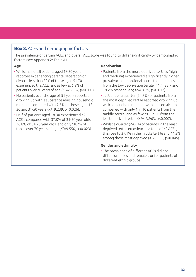## **Box 8.** ACEs and demographic factors

The prevalence of certain ACEs and overall ACE score was found to differ significantly by demographic factors (see Appendix 2: Table A1):

#### **Age**

- Whilst half of all patients aged 18-30 years reported experiencing parental separation or divorce, less than 20% of those aged 51-70 experienced this ACE, and as few as 6.8% of patients over 70 years of age (Χ²=23.604, p<0.001).
- No patients over the age of 51 years reported growing up with a substance abusing household member, compared with 7.5% of those aged 18- 30 and 31-50 years (Χ²=9.239, p=0.026).
- Half of patients aged 18-30 experienced ≥2 ACEs, compared with 37.0% of 31-50 year olds, 36.8% of 51-70 year olds, and only 18.2% of those over 70 years of age (Χ²=9.550, p<0.023).

#### **Deprivation**

- Patients from the more deprived tertiles (high and medium) experienced a significantly higher prevalence of emotional abuse than patients from the low deprivation tertile (41.4, 35.7 and 19.2% respectively; Χ²=8.829, p<0.012).
- Just under a quarter (24.3%) of patients from the most deprived tertile reported growing up with a household member who abused alcohol, compared with only 1 in 10 patients from the middle tertile, and as few as 1 in 20 from the least deprived tertile (Χ²=13.963, p<0.007).
- Whilst a quarter (24.7%) of patients in the least deprived tertile experienced a total of ≥2 ACEs, this rose to 37.1% in the middle tertile and 44.3% among those most deprived (Χ²=6.205, p<0.045).

#### **Gender and ethnicity**

• The prevalence of different ACEs did not differ for males and females, or for patients of different ethnic groups.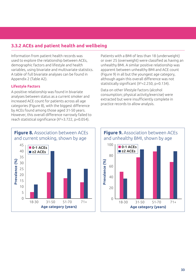## **3.3.2 ACEs and patient health and wellbeing**

Information from patient health records was used to explore the relationship between ACEs, demographic factors and lifestyle and health variables, using bivariate and multivariate statistics. A table of full bivariate analyses can be found in Appendix 2 (Table A2).

#### **Lifestyle Factors**

A positive relationship was found in bivariate analyses between status as a current smoker and increased ACE count for patients across all age categories (Figure 8), with the biggest difference by ACEs found among those aged 31-50 years. However, this overall difference narrowly failed to reach statistical significance (Χ²=3.722, p=0.054).

Patients with a BMI of less than 18 (underweight) or over 25 (overweight) were classified as having an unhealthy BMI. A similar positive relationship was apparent between unhealthy BMI and ACE count (Figure 9) in all but the youngest age category, although again this overall difference was not statistically significant (Χ²=2.250, p=0.134).

Data on other lifestyle factors (alcohol consumption; physical activity/exercise) were extracted but were insufficiently complete in practice records to allow analysis.



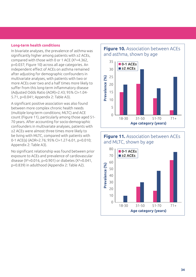#### **Long-term health conditions**

In bivariate analyses, the prevalence of asthma was significantly higher among patients with ≥2 ACEs, compared with those with 0 or 1 ACE (Χ²=4.362, p=0.037; Figure 10) across all age categories. An independent effect of ACEs on asthma remained after adjusting for demographic confounders in multivariate analyses, with patients with two or more ACEs over two and a half times more likely to suffer from this long-term inflammatory disease (Adjusted Odds Ratio (AOR)=2.43; 95% CI=1.04- 5.71, p=0.041; Appendix 2: Table A3).

A significant positive association was also found between more complex chronic health needs (multiple long-term conditions; MLTC) and ACE count (Figure 11), particularly among those aged 51- 70 years. After accounting for socio-demographic confounders in multivariate analyses, patients with ≥2 ACEs were almost three times more likely to be living with MLTC, compared with patients with 0-1 ACE(s) (AOR=2.76; 95% CI=1.27-6.01, p=0.010; Appendix 2: Table A3).

No significant relationship was found between prior exposure to ACEs and prevalence of cardiovascular disease (Χ²=0.016, p=0.901) or diabetes (Χ²=0.041, p=0.839) in adulthood (Appendix 2: Table A2).

### **Figure 10.** Association between ACEs and asthma, shown by age



#### **Figure 11.** Association between ACEs and MLTC, shown by age

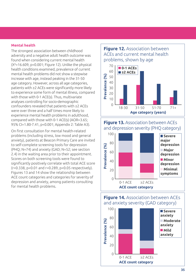#### **Mental health**

The strongest association between childhood adversity and a negative adult health outcome was found when considering current mental health (Χ²=16.609, p<0.001; Figure 12). Unlike the physical health conditions examined, prevalence of current mental health problems did not show a stepwise increase with age, instead peaking in the 31-50 age category. However, across all age categories, patients with ≥2 ACEs were significantly more likely to experience some form of mental illness, compared with those with 0-1 ACE(s). Thus, multivariate analyses controlling for socio-demographic confounders revealed that patients with ≥2 ACEs were over three and a half times more likely to experience mental health problems in adulthood, compared with those with 0-1 ACE(s) (AOR=3.65; 95% CI=1.80-7.41, p<0.001; Appendix 2: Table A3).

On first consultation for mental health-related problems (including stress, low mood and general anxiety), patients at Beacon Primary Care are invited to self-complete screening tools for depression (PHQ; N=74) and anxiety (GAD; N=52; see section 2.4) in the waiting area prior to their appointment. Scores on both screening tools were found to significantly positively correlate with total ACE score (r=0.338, p<0.01 and r=0.289, p<0.05 respectively). Figures 13 and 14 show the relationship between ACE count categories and categories for severity of depression and anxiety, among patients consulting for mental health problems.







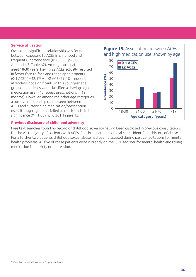#### **Service utilisation**

Overall, no significant relationship was found between exposure to ACEs in childhood and frequent GP attendance (Χ²=0.023, p=0.880; Appendix 2: Table A2). Among those patients aged 18-30 years, having ≥2 ACEs actually resulted in fewer face-to-face and triage appointments (0-1 ACE(s) =42.1% vs. ≥2 ACE=29.4% frequent attenders; not significant). In this youngest age group, no patients were classified as having high medication use (>45 repeat prescriptions in 12 months). However, among the other age categories, a positive relationship can be seen between ACEs and current high medication/prescription use, although again this failed to reach statistical significance  $(X^2=1.069, p=0.301;$  Figure 15)<sup>16</sup>.

#### **Previous disclosure of childhood adversity**

### **Figure 15.** Association between ACEs and high medication use, shown by age



Free text searches found no record of childhood adversity having been disclosed in previous consultations for the vast majority of patients with ACEs. For three patients, clinical codes identified a history of abuse. For a further two patients childhood sexual abuse had been discussed during past consultations for mental health problems. All five of these patients were currently on the QOF register for mental health and taking medication for anxiety or depression.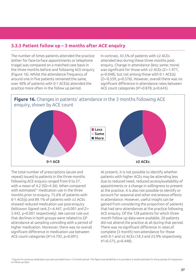## **3.3.3 Patient follow up – 3 months after ACE enquiry**

The number of times patients attended the practice (either for face-to-face appointments or telephone triage) was compared on a matched case basis in the three months before and following ACE enquiry (Figure 16). Whilst the attendance frequency of around one in five patients remained the same, over 40% of patients with 0-1 ACE(s) attended the practice more often in the follow up period.

In contrast, 43.5% of patients with ≥2 ACEs attended less during these three months postenquiry. Change in attendance (less; same; more) was significant for those with ≥2 ACEs (Z=-1.977, p=0.048), but not among those with 0-1 ACE(s) (Z=-0.559, p=0.576). However, overall there was no significant difference in attendance rates between ACE count categories (Χ²=0.878, p=0.645).



The total number of prescriptions (acute and repeat) issued to patients in the three months following ACE enquiry ranged from 0 to 27, with a mean of 4.2 (SD=4.36). When compared with estimated<sup>17</sup> medication use in the three months prior to enquiry, 75.6% of patients with 0-1 ACE(s) and 89.1% of patients with ≥2 ACEs showed reduced medication use post-enquiry (Wilcoxon Signed rank Z=-6.447, p<0.001 and Z=- 5.442, p<0.001 respectively). We cannot rule out that declines in both groups were related to GP attendance at sampling coinciding with a period of higher medication. Moreover, there was no overall significant difference in medication use between ACE count categories (Χ²=4.792, p=0.091).

At present, it is not possible to identify whether patients with higher ACEs may be attending less due to reduced need, reduced access/availability of appointments or a change in willingness to present at the practice. It is also not possible to identify or account for seasonal and other extraneous effects in attendance. However, useful insight can be gained from considering the proportion of patients that had zero attendances at the practice following ACE enquiry. Of the 128 patients for which three month follow up data were available, 26 patients did not attend the practice at all during that period. There was no significant difference in rates of complete (3 month) non-attendance for those with 0-1 and ≥2 ACEs (18.3 and 23.9% respectively;  $X^2 = 0.575$ ,  $p = 0.448$ ).

<sup>&</sup>lt;sup>17</sup>Figures for previous medication use were provided over a 12 month period. This figure was divided by 4 to provide a 3 month estimate for the purposes of comparison to follow-up data.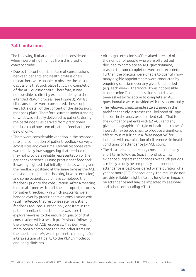## **3.4 Limitations**

The following limitations should be considered when interpreting findings from this proof of concept study:

- Due to the confidential nature of consultations between patients and health professionals, researchers were unable to observe the actual discussions that took place following completion of the ACE questionnaire. Therefore, it was not possible to directly examine fidelity to the intended REACh process (see Figure 3). Whilst clinicians' notes were considered, these contained very little detail of the content of the discussions that took place. Therefore, current understanding of what was actually delivered to patients during the pathfinder was derived from practitioner feedback and one item of patient feedback (see below) only.
- There were considerable variation in the response rate and completion of patient feedback surveys, across sites and over time. Overall response rate was relatively low, suggesting that feedback may not provide a reliable representation of the patient experience. During practitioner feedback, it was highlighted that initially patients were given the feedback postcard at the same time as the ACE questionnaire (on initial booking in with reception) and some patients could have completed their feedback prior to the consultation. After a meeting that re-affirmed with staff the appropriate process for patient feedback - in which postcards were handed over by practitioners on consultation exit - staff reflected that response rate for patient feedback reduced. Further, only one item in the patient feedback questionnaire was used to explore views as to the nature or quality of that consultation with a health professional following the provision of ACE responses. This item was more poorly completed than the other items on the questionnaire18, which presents challenges for interpretation of fidelity to the REACh model by enquiring clinicians.
- Although reception staff retained a record of the number of people who were offered but declined to complete an ACE questionnaire, reasons for non-completion were not recorded. Further, the practice were unable to quantify how many eligible appointments were conducted by enquiring clinicians over any given time period (e.g. each week). Therefore, it was not possible to determine if all patients that should have been asked by reception to complete an ACE questionnaire were provided with this opportunity.
- The relatively small sample size attained in this pathfinder study increases the likelihood of Type II errors in the analyses of patient data. That is, the number of patients with ≥2 ACEs and any given demographic, lifestyle or health outcome of interest may be too small to produce a significant effect, thus resulting in a 'false negative' for instance with examination of differences in health conditions or attendance by ACE count.
- The data included here only considers relatively short term follow up (e.g. 3 months), whilst evidence suggests that changes over such periods are likely to only be temporary and frequent attendance is best considered over a duration of a year or more [22]. Consequently, the results do not provide reliable insight into any long-term impacts on attendance and may be impacted by seasonal and other confounding effects.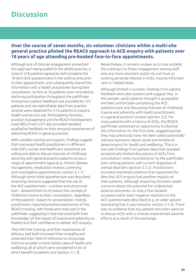## **Discussion**

## **Over the course of seven months, six volunteer clinicians within a multi-site general practice piloted the REACh approach to ACE enquiry with patients over 18 years of age attending pre-booked face-to-face appointments.**

Although lack of clinician engagement prevented this approach being scaled to the whole practice, a total of 218 patients agreed to self-complete the 10-item ACE questionnaire in the waiting area prior to their appointment, and subsequently shared this information with a health practitioner during their consultation. As few as 16 patients were recorded as declining participation throughout the pathfinder. Anonymous patient feedback was provided by 123 patients and non-identifiable data from practice records were obtained for 214 patients to explore health and service use. Participating clinicians, practice management and the REACh Development Lead (RDL) from LCFT also provided detailed qualitative feedback on their personal experiences of delivering REACh in general practice.

With suitable training and support, findings suggest that motivated health practitioners in different roles (GPs, nurses and healthcare assistants) are willing and able to discuss histories of childhood adversity with general practice patients across a range of appointment types (e.g. chronic disease management; medication reviews; screening and investigative appointments; section 3.1.1). Although some initial apprehension was described, enquiring clinicians suggested that the use of the ACE questionnaire - a written and structured tool – allowed them to introduce the concept of childhood trauma to their consultation, regardless of the patients' reason for presentation. Overall, practitioners reported positive experiences of the REACh training, with those who took part in the pathfinder suggesting it had improved both their knowledge (of the impact of trauma and adversity on health) and their confidence to deliver ACE enquiry**.**

They felt that training, and their experiences of delivery, had both increased their empathy and extended their field of reference to encourage them to consider a more holistic view of health and wellbeing; all of which were considered to be of direct benefit to patient care (section 3.1.3).

Nevertheless, it remains unclear as to how suitable the training is to foster engagement among staff who are more reluctant and/or do not have an existing personal interest in ACEs, trauma-informed care or related ideas.

Although limited in number, findings from patient feedback were also positive and suggest that, in this sample, adult patients thought it acceptable and feel comfortable completing the ACE questionnaire and discussing histories of childhood trauma and adversity with health practitioners in a general practice context (section 3.2). For many patients with a history of ACEs, the REACh pathfinder presented an opportunity to disclose this information for the first time, suggesting that they may previously have not been asked potentially relevant questions about social and emotional determinants for health and wellbeing. This is in line with findings from patient data that revealed exceptionally limited discussions of ACEs from consultation notes recorded prior to the pathfinder, even among patients with current diagnoses of mental disorders (section 3.3.2). Practitioners provided anecdotal evidence that supported the idea that ACE enquiry had positive impacts on their patients. Although enquiring clinicians raised concerns about the potential for undetected adverse outcomes, on only a few isolated occasions were overt negative reactions to the ACE questionnaire described (e.g. an older patient expressing that it was intrusive; section 3.1.4). There was no evidence that any patient who then went on to discuss ACEs with a clinician experienced adverse effects as a result of this exchange.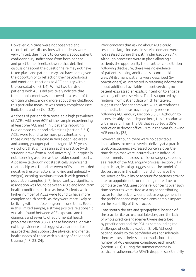However, clinicians were not observed and records of their discussions with patients were very limited, due in part to concerns about patient confidentiality. Indications from both patient and practitioner feedback were that detailed discussions about the questionnaire may not have taken place and patients may not have been given the opportunity to reflect on their psychological and emotional reactions to ACE enquiry within the consultation (3.1.4). Whilst two thirds of patients with ACEs did positively indicate that their appointment was improved as a result of the clinician understanding more about their childhood, this particular measure was poorly completed (see limitations and section 3.2).

Analyses of patient data revealed a high prevalence of ACEs, with over 60% of the sample experiencing at least one ACE and 1 in 3 patients reporting two or more childhood adversities (section 3.3.1). ACEs were found to be more prevalent among those currently residing in more deprived areas and among younger patients (aged 18-30 years) – a cohort that is increasing at the practice (with student intake from a local university), but typically not attending as often as their older counterparts. A positive (although not statistically significant) relationship was found between ACEs and recorded negative lifestyle factors (smoking and unhealthy weight), echoing previous research with general population samples [2, 7]. Importantly, a significant association was found between ACEs and long-term health conditions such as asthma. Patients with a higher number of ACEs were found to have more complex health needs, as they were more likely to be living with multiple long-term conditions. Even in this limited sample, a strong positive relationship was also found between ACE exposure and the diagnosis and severity of adult mental health problems (section 3.3.2). These findings align with existing evidence and suggest a clear need for approaches that support the physical and mental health needs of those with a history of childhood trauma [1, 7, 23, 24].

Prior concerns that asking about ACEs could result in a large increase in service demand were not realised during the pathfinder (section 3.1). Although processes were in place allowing all patients the opportunity for a further consultation following disclosure, there was no evidence of patients seeking additional support in this way. Whilst many patients were described (by practitioners) as interested in retaining information about additional available support services, no patient expressed an explicit intention to engage with any of these services. This is supported by findings from patient data which tentatively suggest that for patients with ACEs, attendances and medication use may marginally reduce following ACE enquiry (section 3.3.3). Although to a considerably lesser degree here, this is conducive with research from the US that reported a 35% reduction in doctor office visits in the year following ACE enquiry [25].

However, although there were no detectable implications for overall service delivery at a practicelevel, practitioners expressed concerns over the time delays that were incurred within individual appointments and across clinics or surgery sessions as a result of the ACE enquiry process (section 3.1.4). In particular, learning suggests that the model of delivery used in the pathfinder did not have the resilience or flexibility to account for patients arriving late for appointments or requiring more time to complete the ACE questionnaire. Concerns over such time pressures were cited as a major contributing factor for the lack of wider practice engagement in the pathfinder and may have a considerable impact on the scalability of this process.

Consistently the size and geographical location of the practice (i.e. across multiple sites) and the lack of whole practice engagement were described by practitioners and the RDL as compounding the challenges of delivery (section 3.1.4). Although patient uptake to the pathfinder was considerable, there was nevertheless notable variation in the number of ACE enquiries completed each month (section 3.1.1). During the summer months in particular, adherence to REACh dropped substantially.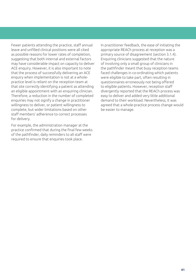Fewer patients attending the practice, staff annual leave and unfilled clinical positions were all cited as possible reasons for lower rates of completion, suggesting that both internal and external factors may have considerable impact on capacity to deliver ACE enquiry. However, it is also important to note that the process of successfully delivering an ACE enquiry when implementation is not at a wholepractice level is reliant on the reception team at that site correctly identifying a patient as attending an eligible appointment with an enquiring clinician. Therefore, a reduction in the number of completed enquiries may not signify a change in practitioner willingness to deliver, or patient willingness to complete, but wider limitations based on other staff members' adherence to correct processes for delivery.

For example, the administration manager at the practice confirmed that during the final few weeks of the pathfinder, daily reminders to all staff were required to ensure that enquiries took place.

In practitioner feedback, the ease of initiating the appropriate REACh process at reception was a primary source of disagreement (section 3.1.4). Enquiring clinicians suggested that the nature of involving only a small group of clinicians in the pathfinder meant that busy reception teams faced challenges in co-ordinating which patients were eligible to take part, often resulting in questionnaires erroneously not being offered to eligible patients. However, reception staff divergently reported that the REACh process was easy to deliver and added very little additional demand to their workload. Nevertheless, it was agreed that a whole-practice process change would be easier to manage.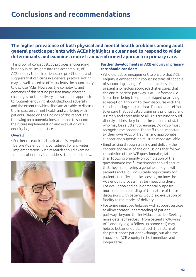## **The higher prevalence of both physical and mental health problems among adult general practice patients with ACEs highlights a clear need to respond to wider determinants and examine a more trauma-informed approach in primary care.**

This proof of concept study provides encouraging but only initial insights into the acceptability of ACE enquiry to both patients and practitioners and suggests that clinicians in a general practice setting may be well placed to offer patients the opportunity to disclose ACEs. However, the complexity and demands of this setting present many inherent challenges for the delivery of a sustained approach to routinely enquiring about childhood adversity and the extent to which clinicians are able to discuss the impact on current health and wellbeing with patients. Based on the findings of this report, the following recommendations are made to support the future implementation and evaluation of ACE enquiry in general practice.

#### **Overall**

• Further research and evaluation is required before ACE enquiry is considered for any wider implementation. Such research should examine models of enquiry that address the points below.



#### **Further developments in ACE enquiry in primary care should consider:**

- Whole-practice engagement to ensure that ACE enquiry is embedded in robust systems all capable of supporting change. General practices should present a joined-up approach that ensures that the entire patient pathway is ACE-informed (i.e. from them being telephoned triaged or arriving at reception, through to their discourse with the clinician during consultation). This requires efforts to ensure that dedicated training is prioritised and is timely and accessible to all. This training should directly address buy-in and the concerns of staff who may be reluctant to engage. Doing so must recognise the potential for staff to be impacted by their own ACEs or trauma, and appropriate support and supervision must be made available.
- Emphasising through training and delivery the content and value of the discussions that follow completion of the ACE questionnaire, rather than focusing primarily on completion of the questionnaire itself. Practitioners should ensure that they are entering a genuine dialogue with patients and allowing suitable opportunity for patients to reflect, in the present, on how the ACE enquiry process may be impacting them. For evaluation and developmental purposes, more detailed recording of the nature of these discussions with patients would aid evaluation of fidelity to the model of delivery.
- Fostering improved linkages with support services to allow greater understanding of patient pathways beyond the individual practice. Seeking more detailed feedback from patients following ACE enquiry (e.g. a follow up phone call) may help to better understand both the nature of the practitioner-patient exchange, but also the impacts of ACE enquiry in the immediate and longer term.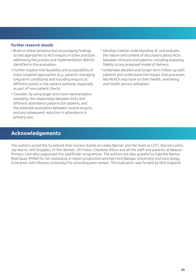#### **Further research should:**

- Build on these tentative but encouraging findings to test approaches to ACE enquiry in other practices addressing the process and implementation deficits identified in this evaluation.
- Further explore the feasibility and acceptability of more targeted approaches (e.g. patients managing long-term conditions) and including enquiry at different points in the patient pathway; especially as part of new patient checks.
- Consider, by using larger and more representative sample(s), the relationship between ACEs and different attendance patterns for patients, and the potential association between routine enquiry and any subsequent reduction in attendance in primary care.
- **Acknowledgements**
- Develop a better understanding of, and evaluate, the nature and content of discussions about ACEs between clinicians and patients; including assessing fidelity to any proposed model of delivery.
- Undertake detailed and longer term follow up with patients and understand the impact that processes like REACh may have on their health, well-being and health service utilisation.

The authors would like to extend their sincere thanks to Lesley Banner and the team at LCFT, Warren Larkin, Jay Nairns, Will Stupples, Dr Ros Bonsor, Jill Foster, Charlene Hilton and all the staff and patients at Beacon Primary Care who supported this pathfinder programme. The authors are also grateful to Gabriela Ramos Rodriguez (PHW) for her assistance in report production and Kat Ford (Bangor University) and Zara Quigg (Liverpool John Moores University) for providing peer review. This evaluation was funded by NHS England.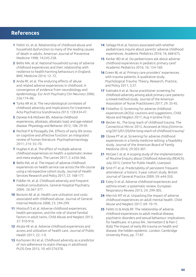## **References**

- **1** Felitti VJ, et al. Relationship of childhood abuse and household dysfunction to many of the leading causes of death in adults. American Journal of Preventive Medicine 1998; 14:245-258.
- **2** Bellis MA, et al. National household survey of adverse childhood experiences and their relationship with resilience to health-harming behaviours in England. BMC Medicine 2014; 12: 72.
- **3** Anda RF, et al. The enduring effects of abuse and related adverse experiences in childhood. A convergence of evidence from neurobiology and epidemiology. Eur Arch Psychiatry Clin Neurosci 2006; 256:174–86.
- **4** Tyrka AR et al. The neurobiological correlates of childhood adversity and implications for treatment. Acta Psychiatrica Scandinavica 2013; 128:434-47.
- **5** Danese A & McEwen BS. Adverse childhood experiences, allostasis, allostatic load, and age-related disease. Physiology and Behavior 2012; 106: 29-39.
- **6** Pechtel P & Pizzagallu DA. Effects of early life stress on cognitive and affective function: an integrated review of human literature. Psychopharmacology 2011; 214: 55–70.
- **7** Hughes K et al. The effect of multiple adverse childhood experiences on health: a systematic review and meta-analysis. The Lancet 2017; 2: e356-366.
- **8** Bellis MA, et al. The impact of adverse childhood experiences on health service use across the life course using a retrospective cohort study. Journal of Health Services Research and Policy 2017; 22: 168-177.
- **9** Fiddler M, et al. Childhood adversity and frequent medical consultations. General Hospital Psychiatry 2004; 26:367-377.
- **10** Bonomi AE at al. Health care utilization and costs associated with childhood abuse. Journal of General Internal Medicine 2008; 23: 294-299.
- **11** Mostoufi S et al. Adverse childhood experiences, health perception, and the role of shared familial factors in adult twins. Child Abuse and Neglect 2013; 37: 910-916.
- **12** Alcala HE et al. Adverse childhood experiences and access and utilization of health care. Journal of Public Health 2017; 22: 1-9.
- **13** Korhonen MJ et al. Childhood adversity as a predictor of non-adherence to statin therapy in adulthood. PLOS One 2015; 10: e01276378.
- **14** Szilagyi M et al. Factors associated with whether pediatricians inquire about parents' adverse childhood experiences. Academic Pediatrics 2016; 16: 668-675.
- **15** Kerker BD et al. Do pediatricians ask about adverse childhood experiences in pediatric primary care? Academic Pediatrics 2016; 16: 154-160.
- **16** Green BL et al. Primary care providers' experiences with trauma patients: A qualitative study. Psychological Trauma: Theory, Research, Practice, and Policy 2011; 3:37.
- **17** Kalmakis K et al. Nurse practitioner screening for childhood adversity among adult primary care patients: a mixed-method study. Journal of the American Association of Nurse Practitioners 2017; 29: 35-45.
- **18** Finkelhor D. Screening for adverse childhood experiences (ACEs): cautions and suggestions. Child Abuse and Neglect 2017; Aug 4 (online first).
- **19** Becker AL. The long reach of childhood trauma. The Connecticut Mirror 2015. Accessed at http://ctmirror. org/2015/01/20/the-long-reach-of-childhood-trauma/
- **20** Glowa PT et al. Screening for adverse childhood experiences in a family medicine setting: a feasibility study. Journal of the American Board of Family Medicine 2016; 29:303-307.
- **21** McGee C et al. A scoping study of the implementation of Routine Enquiry about Childhood Adversity (REACh). July 2015; Centre for Public Health, Liverpool.
- **22** Smit FT et al. Predictability of persistent frequent attendance: a historic 3-year cohort study. British Journal of General Practice 2009; 59: e44-350.
- **23** Exley D et al. Adverse childhood experiences and asthma onset: a systematic review. European Respiratory Review 2015; 24: 299-305.
- **24** Merrick MT et al. Unpacking the impact of adverse childhood experiences on adult mental health. Child Abuse and Neglect 2017; 69: 10-19.
- **25** Felitti VJ & Anda RF. The relationship of adverse childhood experiences to adult medical disease, psychiatric disorders and sexual behaviour: implications for healthcare. In Lanius RA , Vermetten E & Pain C (Eds) The impact of early life trauma on health and disease: the hidden epidemic. London: Cambridge University Press, pp. 77-87.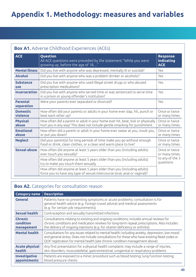# **Appendix 1. Methodology: measures and variables**

## **Box A1.** Adverse Childhood Experiences (ACEs)

| <b>ACE</b>                     | Question<br>All ACE questions were preceded by the statement "While you were<br>growing up, before the age of 18"                                             | <b>Response</b><br>indicating<br><b>ACE</b>       |
|--------------------------------|---------------------------------------------------------------------------------------------------------------------------------------------------------------|---------------------------------------------------|
| <b>Mental illness</b>          | Did you live with anyone who was depressed, mentally ill or suicidal?                                                                                         | Yes                                               |
| <b>Alcohol</b>                 | Did you live with anyone who was a problem drinker or alcoholic?                                                                                              | Yes                                               |
| <b>Substance</b><br><b>use</b> | Did you live with anyone who used illegal street drugs or who abused<br>prescription medications?                                                             | Yes                                               |
| <b>Incarceration</b>           | Did you live with anyone who served time or was sentenced to serve time<br>in a prison or young offender's institution?                                       | Yes                                               |
| <b>Parental</b><br>separation  | Were your parents ever separated or divorced?                                                                                                                 | Yes                                               |
| <b>Domestic</b><br>violence    | How often did your parents or adults in your home ever slap, hit, punch or<br>beat each other up?                                                             | Once or twice<br>or many times                    |
| <b>Physical</b><br>abuse       | How often did a parent or adult in your home ever hit, beat, kick or physically<br>hurt you in any way? This does not include gentle smacking for punishment. | Once or twice<br>or many times                    |
| <b>Emotional</b><br>abuse      | How often did a parent or adult in your home ever swear at you, insult you,<br>or put you down?                                                               | Once or twice<br>or many times                    |
| <b>Neglect</b>                 | Did your parent(s) for long periods of time make you go without enough<br>food or drink, clean clothes, or a clean and warm place to live?                    | Once or twice<br>or many times                    |
| <b>Sexual abuse</b>            | How often did anyone at least 5 years older than you (including adults)<br>ever touch you sexually?                                                           | Once or twice<br>or many times<br>to any of the 3 |
|                                | How often did anyone at least 5 years older than you (including adults)<br>try to make you touch them sexually                                                |                                                   |
|                                | How often did anyone at least 5 years older than you (including adults)<br>force you to have any type of sexual intercourse (oral, anal or vaginal)?          |                                                   |

## **Box A2.** Categories for consultation reason

| <b>Category name</b>                      | <b>Description</b>                                                                                                                                                                                                                                                            |
|-------------------------------------------|-------------------------------------------------------------------------------------------------------------------------------------------------------------------------------------------------------------------------------------------------------------------------------|
| <b>General</b>                            | Patients have no presenting symptoms or acute problems; consultation is for<br>general health advice (e.g. foreign travel advice) and medical assessments<br>(e.g. for certain job requirements)                                                                              |
| <b>Sexual health</b>                      | Contraception and sexually transmitted infections                                                                                                                                                                                                                             |
| <b>Chronic</b><br>condition<br>management | Consultations relating to existing and ongoing conditions; includes annual reviews for<br>chronic conditions and medication reviews for long-term repeat prescriptions. Also includes<br>the delivery of ongoing injections (e.g. for vitamin deficiency or arthritis)        |
| <b>Mental health</b>                      | Consultations for any issues related to mental health; including anxiety, depression, low mood<br>and general stress. Does not include consultations for those who have existing Read codes or<br>QOF registration for mental health (see chronic condition management above) |
| <b>Acute physical</b><br>health           | Any first presentation for a physical health complaint; may include a range of injuries,<br>skin disorders, muscoskeletal, gastrointestinal, urogenital or respiratory problems                                                                                               |
| <b>Investigative</b><br>appointments      | Patients are exposed to a minor procedure such as blood testing; lung function testing;<br>blood pressure checks                                                                                                                                                              |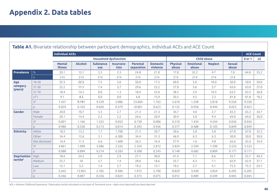## **Appendix 2. Data tables**

|                    |               | <b>Individual ACEs</b>          |                |                                |                              |                               |                             |                          |                           |                    |                        |            | <b>ACE Count</b> |
|--------------------|---------------|---------------------------------|----------------|--------------------------------|------------------------------|-------------------------------|-----------------------------|--------------------------|---------------------------|--------------------|------------------------|------------|------------------|
|                    |               |                                 |                |                                | <b>Household dysfunction</b> |                               |                             |                          |                           | <b>Child abuse</b> |                        | $0$ or $1$ | $\geq 2$         |
|                    |               | <b>Mental</b><br><b>illness</b> | <b>Alcohol</b> | <b>Substance</b><br><b>use</b> | Incarcera-<br>tion           | <b>Parental</b><br>separation | <b>Domestic</b><br>violence | <b>Physical</b><br>abuse | <b>Emotional</b><br>abuse | <b>Neglect</b>     | <b>Sexual</b><br>abuse |            |                  |
| Prevalence         | %             | 20.1                            | 13.1           | 3.3                            | 2.3                          | 24.8                          | 21.0                        | 17.8                     | 32.2                      | 4.7                | 7.0                    | 64.8       | 35.2             |
|                    | $\mathsf{D}$  | 214                             | 214            | 214                            | 214                          | 214                           | 214                         | 214                      | 214                       | 214                | 214                    |            |                  |
| Age                | $18 - 30$     | 32.5                            | 22.5           | 7.5                            | 5.0                          | 50.0                          | 17.5                        | 40.0                     | 5.0                       | 10.0               | 50.0                   | 50.0       | 50.0             |
| category           | $31 - 50$     | 22.2                            | 11.1           | 7.4                            | 3.7                          | 29.6                          | 22.2                        | 27.8                     | 5.6                       | 3.7                | 63.0                   | 63.0       | 37.0             |
| (years)            | $51 - 70$     | 18.4                            | 14.5           | 0.0                            | 1.3                          | 18.4                          | 25.0                        | 38.2                     | 3.9                       | 10.5               | 63.2                   | 63.2       | 36.8             |
|                    | $\geq 71$     | 9.1                             | 4.5            | 0.0                            | 0.0                          | 6.8                           | 15.9                        | 20.5                     | 4.5                       | 2.3                | 81.8                   | 81.8       | 18.2             |
|                    | $X^2$         | 7.437                           | 9.191          | 9.239                          | 3.086                        | 23.604                        | 1.763                       | 5.610                    | 1.548                     | 5.818              | 9.550                  | 9.550      |                  |
|                    | D.            | 0.059                           | 0.163          | 0.026                          | 0.379                        | < 0.001                       | 0.623                       | 0.132                    | 0.956                     | 0.444              | 0.023                  | 0.023      |                  |
| <b>Gender</b>      | Male          | 20.0                            | 10.7           | 5.3                            | 2.7                          | 21.3                          | 21.3                        | 34.7                     | 4.0                       | 2.7                | 65.3                   | 65.3       | 34.7             |
|                    | Female        | 20.1                            | 14.4           | 2.2                            | 2.2                          | 26.6                          | 20.9                        | 30.9                     | 5.0                       | 9.4                | 64.0                   | 64.0       | 36.0             |
|                    | $X^2$         | 0.001                           | 1.166          | 1.552                          | 0.055                        | 0.730                         | 0.006                       | 0.310                    | 1.434                     | 4.544              | 0.036                  | 0.036      |                  |
|                    | D.            | 0.980                           | 0.558          | 0.213                          | 0.814                        | 0.393                         | 0.936                       | 0.577                    | 0.488                     | 0.103              | 0.849                  | 0.849      |                  |
| <b>Ethnicity</b>   | White         | 18.2                            | 13.2           | 1.7                            | 1.700                        | 21.5                          | 20.7                        | 30.6                     | 5.8                       | 5.8                | 67.8                   | 67.8       | 32.2             |
|                    | Other         | 34.4                            | 15.6           | 3.1                            | 6.300                        | 34.4                          | 31.3                        | 46.9                     | 6.3                       | 6.3                | 50.0                   | 50.0       | 50.0             |
|                    | Not disclosed | 16.4                            | 11.5           | 6.6                            | 1.600                        | 26.2                          | 16.4                        | 27.9                     | 1.6                       | 9.8                | 65.6                   | 65.6       | 34.4             |
|                    | $X^2$         | 4.861                           | 1.099          | 3.086                          | 2.526                        | 2.354                         | 2.812                       | 3.824                    | 2.294                     | 1.599              | 3.533                  | 3.533      |                  |
|                    | D.            | 0.088                           | 0.894          | 0.214                          | 0.283                        | 0.308                         | 0.245                       | 0.148                    | 0.682                     | 0.809              | 0.171                  | 0.171      |                  |
| <b>Deprivation</b> | High          | 18.6                            | 24.3           | 2.9                            | 2.9                          | 27.1                          | 30.0                        | 41.4                     | 7.1                       | 8.6                | 55.7                   | 55.7       | 44.3             |
| tertiles           | Medium        | 25.7                            | 10             | 5.7                            | 1.4                          | 28.6                          | 18.6                        | 35.7                     | 4.3                       | 7.1                | 62.9                   | 62.9       | 37.1             |
|                    | Low           | 15.1                            | 5.5            | 1.4                            | 2.7                          | 19.2                          | 15.1                        | 19.2                     | 2.7                       | 4.1                | 75.3                   | 75.3       | 24.7             |
|                    | $X^2$         | 2.645                           | 13.963         | 2.182                          | 0.386                        | 1.972                         | 5.190                       | 8.829                    | 3.430                     | 3.054              | 6.205                  | 6.205      |                  |
|                    | D.            | 0.266                           | 0.007          | 0.336                          | 0.824                        | 0.373                         | 0.075                       | 0.012                    | 0.489                     | 0.549              | 0.045                  | 0.045      |                  |

**Table A1.** Bivariate relationship between participant demographics, individual ACEs and ACE Count

ACE = Adverse Childhood Experience; \$ Deprivation tertile calculated on the basis of Townsend score – High=most deprived/Low=least deprived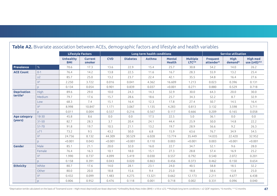|                    |           | <b>Lifestyle Factors</b>       |                          |            |                 | Long term health conditions |                                |                          |                                          | <b>Service utilisation</b> |                                |
|--------------------|-----------|--------------------------------|--------------------------|------------|-----------------|-----------------------------|--------------------------------|--------------------------|------------------------------------------|----------------------------|--------------------------------|
|                    |           | <b>Unhealthy</b><br><b>BMI</b> | <b>Current</b><br>smoker | <b>CVD</b> | <b>Diabetes</b> | Asthma                      | <b>Mental</b><br><b>Health</b> | <b>Multiple</b><br>LTC** | <b>Frequent</b><br>attender <sup>^</sup> | <b>High</b><br>demand^     | <b>High med</b><br>use (≥45)^^ |
| Prevalence         | %         | 70.6                           | 17.3                     | 13.6       | 22.9            | 15.4                        | 25.7                           | 30.8                     | 54.2                                     | 14.0                       | 26.2                           |
| <b>ACE Count</b>   | $0 - 1$   | 76.4                           | 14.2                     | 13.8       | 22.5            | 11.6                        | 16.7                           | 28.3                     | 55.9                                     | 13.2                       | 25.4                           |
|                    | $\geq$ 2  | 85.7                           | 25.0                     | 13.2       | 23.7            | 22.4                        | 42.1                           | 35.5                     | 54.8                                     | 16.4                       | 27.6                           |
|                    | $X^2$     | 2.250                          | 3.722                    | 0.016      | 0.041           | 4.362                       | 16.609                         | 1.213                    | 0.023                                    | 0.396                      | 0.131                          |
|                    | <b>P</b>  | 0.134                          | 0.054                    | 0.901      | 0.839           | 0.037                       | < 0.001                        | 0.271                    | 0.880                                    | 0.529                      | 0.718                          |
| <b>Deprivation</b> | High      | 89.6                           | 29.0                     | 10.0       | 24.3            | 14.3                        | 32.9                           | 30.0                     | 64.3                                     | 20.0                       | 30.0                           |
| tertiles           | Medium    | 79.7                           | 17.6                     | 15.7       | 28.6            | 18.6                        | 25.7                           | 34.3                     | 52.2                                     | 8.7                        | 32.9                           |
|                    | Low       | 68.3                           | 7.4                      | 15.1       | 16.4            | 12.3                        | 17.8                           | 27.4                     | 50.7                                     | 14.5                       | 16.4                           |
|                    | $X^2$     | 8.998                          | 10.847                   | 1.171      | 3.067           | 1.135                       | 4.283                          | 0.813                    | 3.132                                    | 3.598                      | 5.711                          |
|                    | p.        | 0.011                          | 0.004                    | 0.557      | 0.216           | 0.567                       | 0.117                          | 0.666                    | 0.209                                    | 0.165                      | 0.058                          |
| Age category       | $18 - 30$ | 45.8                           | 8.6                      | 0.0        | 0.0             | 17.5                        | 22.5                           | 5.0                      | 36.1                                     | 0.0                        | 0.0                            |
| (years)            | $31 - 50$ | 82.7                           | 28.3                     | 3.7        | 20.4            | 24.1                        | 44.4                           | 25.9                     | 50.0                                     | 14.8                       | 22.2                           |
|                    | $51 - 70$ | 91.8                           | 19.7                     | 10.5       | 21.1            | 13.2                        | 19.7                           | 28.9                     | 56.6                                     | 9.2                        | 26.3                           |
|                    | $\geq 71$ | 73.2                           | 9.5                      | 43.2       | 50.0            | 6.8                         | 15.9                           | 63.6                     | 76.7                                     | 34.9                       | 54.5                           |
|                    | $X^2$     | 24.756                         | 8.132                    | 44.309     | 30.529          | 6.028                       | 13.774                         | 35.449                   | 14.035                                   | 22.420                     | 32.952                         |
|                    | <b>p</b>  | < 0.001                        | 0.043                    | < 0.001    | < 0.001         | 0.110                       | 0.003                          | < 0.001                  | 0.003                                    | < 0.001                    | < 0.001                        |
| <b>Gender</b>      | Male      | 85.1                           | 21.1                     | 20.0       | 32.0            | 16.0                        | 22.7                           | 34.7                     | 52.1                                     | 9.6                        | 28.0                           |
|                    | Female    | 76.4                           | 16.3                     | 10.1       | 18.0            | 15.1                        | 27.3                           | 28.8                     | 57.4                                     | 16.9                       | 25.2                           |
|                    | $X^2$     | 1.990                          | 0.737                    | 4.099      | 5.419           | 0.030                       | 0.557                          | 0.792                    | 0.540                                    | 2.072                      | 0.201                          |
|                    | P         | 0.158                          | 0.391                    | 0.043      | 0.020           | 0.863                       | 0.456                          | 0.373                    | 0.462                                    | 0.150                      | 0.654                          |
| <b>Ethnicity</b>   | White     | 80.7                           | 17.6                     | 14.0       | 28.1            | 23.1                        | 24.0                           | 40.5                     | 58.8                                     | 18.5                       | 32.2                           |
|                    | Other     | 80.0                           | 20.0                     | 18.8       | 15.6            | 9.4                         | 25.0                           | 18.8                     | 58.6                                     | 13.8                       | 25.0                           |
|                    | $X^2$     | 0.432                          | 0.099                    | 1.483      | 4.275           | 13.321                      | 0.662                          | 12.173                   | 2.211                                    | 4.677                      | 6.438                          |
|                    | <b>p</b>  | 0.806                          | 0.952                    | 0.476      | 0.118           | 0.001                       | 0.718                          | 0.002                    | 0.331                                    | 0.096                      | 0.040                          |

## **Table A2.** Bivariate association between ACEs, demographic factors and lifestyle and health variables

°Deprivation tertile calculated on the basis of Townsend score – High=most deprived/Low=least deprived; \*Unhealthy Body Mass Index (BMI) = ≤18 or ≥25; \*\*Multiple long term conditions = ≥2 QOF registers; ^6 months; ^^12 mo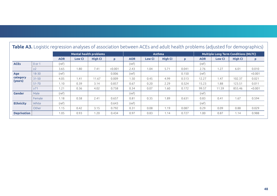|                    | Table A3. Logistic regression analyses or association between ACEs and adult health problems (adjusted for demographics) |            |               |                |         |            |               |                |       |            |                                             |                |          |  |
|--------------------|--------------------------------------------------------------------------------------------------------------------------|------------|---------------|----------------|---------|------------|---------------|----------------|-------|------------|---------------------------------------------|----------------|----------|--|
|                    | <b>Mental health problems</b>                                                                                            |            |               |                |         |            | Asthma        |                |       |            | <b>Multiple Long Term Conditions (MLTC)</b> |                |          |  |
|                    |                                                                                                                          | <b>AOR</b> | <b>Low CI</b> | <b>High CI</b> | P       | <b>AOR</b> | <b>Low CI</b> | <b>High CI</b> | p     | <b>AOR</b> | <b>Low CI</b>                               | <b>High CI</b> | <b>P</b> |  |
| <b>ACEs</b>        | $0$ or $1$                                                                                                               | (ref)      |               |                |         | (ref)      |               |                |       | (ref)      |                                             |                |          |  |
|                    | $\geq$ 2                                                                                                                 | 3.65       | 1.80          | 7.41           | < 0.001 | 2.43       | 1.04          | 5.71           | 0.041 | 2.76       | 1.27                                        | 6.01           | 0.010    |  |
| Age                | $18 - 30$                                                                                                                | (ref)      |               |                | 0.006   | (ref)      |               |                | 0.150 | (ref)      |                                             |                | < 0.001  |  |
| category           | $31 - 50$                                                                                                                | 4.05       | 1.41          | 11.67          | 0.009   | 1.50       | 0.45          | 4.99           | 0.513 | 12.27      | 1.47                                        | 102.37         | 0.021    |  |
| (years)            | $51 - 70$                                                                                                                | 1.10       | 0.39          | 3.14           | 0.857   | 0.67       | 0.20          | 2.29           | 0.524 | 15.23      | 1.88                                        | 123.51         | 0.011    |  |
|                    | $\geq 71$                                                                                                                | 1.21       | 0.36          | 4.02           | 0.758   | 0.34       | 0.07          | 1.60           | 0.172 | 99.57      | 11.59                                       | 855.46         | < 0.001  |  |
| <b>Gender</b>      | Male                                                                                                                     | (ref)      |               |                |         | (ref)      |               |                |       | (ref)      |                                             |                |          |  |
|                    | Female                                                                                                                   | 1.18       | 0.58          | 2.41           | 0.657   | 0.81       | 0.35          | 1.89           | 0.631 | 0.83       | 0.41                                        | 1.67           | 0.594    |  |
| <b>Ethnicity</b>   | White                                                                                                                    | (ref)      |               |                | 0.643   | (ref)      |               |                |       | (ref)      |                                             |                |          |  |
|                    | Other                                                                                                                    | 1.15       | 0.42          | 3.15           | 0.792   | 0.31       | 0.08          | 1.19           | 0.087 | 0.29       | 0.09                                        | 0.88           | 0.029    |  |
| <b>Deprivation</b> |                                                                                                                          | 1.05       | 0.93          | 1.20           | 0.434   | 0.97       | 0.83          | 1.14           | 0.727 | 1.00       | 0.87                                        | 1.14           | 0.988    |  |

## **Table A3.** Logistic regression analyses of association between ACEs and adult health problems (adjusted for demographics)